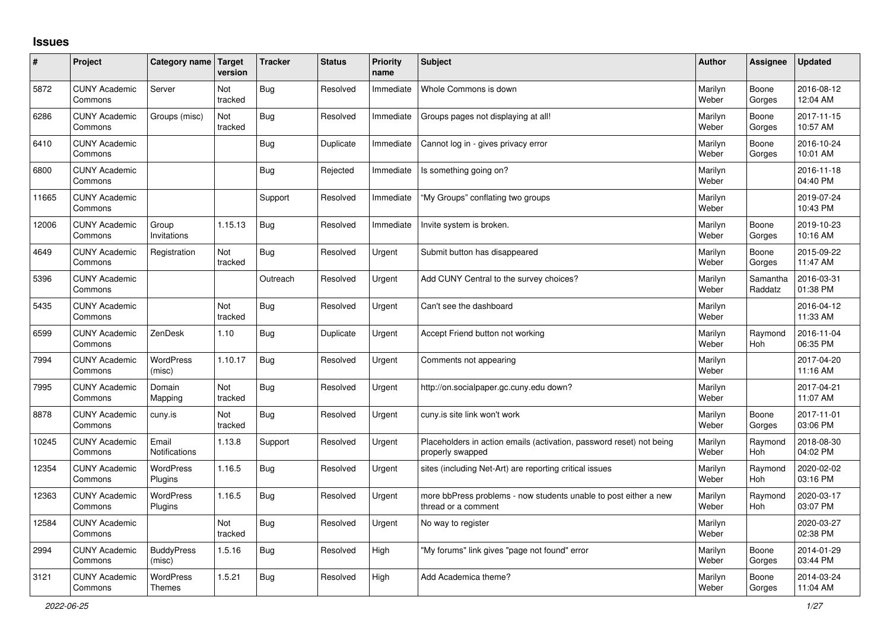## **Issues**

| #     | Project                         | Category name Target        | version        | <b>Tracker</b> | <b>Status</b> | <b>Priority</b><br>name | <b>Subject</b>                                                                           | <b>Author</b>    | Assignee              | <b>Updated</b>         |
|-------|---------------------------------|-----------------------------|----------------|----------------|---------------|-------------------------|------------------------------------------------------------------------------------------|------------------|-----------------------|------------------------|
| 5872  | <b>CUNY Academic</b><br>Commons | Server                      | Not<br>tracked | <b>Bug</b>     | Resolved      | Immediate               | Whole Commons is down                                                                    | Marilyn<br>Weber | Boone<br>Gorges       | 2016-08-12<br>12:04 AM |
| 6286  | <b>CUNY Academic</b><br>Commons | Groups (misc)               | Not<br>tracked | <b>Bug</b>     | Resolved      | Immediate               | Groups pages not displaying at all!                                                      | Marilyn<br>Weber | Boone<br>Gorges       | 2017-11-15<br>10:57 AM |
| 6410  | <b>CUNY Academic</b><br>Commons |                             |                | <b>Bug</b>     | Duplicate     | Immediate               | Cannot log in - gives privacy error                                                      | Marilyn<br>Weber | Boone<br>Gorges       | 2016-10-24<br>10:01 AM |
| 6800  | <b>CUNY Academic</b><br>Commons |                             |                | Bug            | Rejected      | Immediate               | Is something going on?                                                                   | Marilyn<br>Weber |                       | 2016-11-18<br>04:40 PM |
| 11665 | <b>CUNY Academic</b><br>Commons |                             |                | Support        | Resolved      | Immediate               | "My Groups" conflating two groups                                                        | Marilyn<br>Weber |                       | 2019-07-24<br>10:43 PM |
| 12006 | <b>CUNY Academic</b><br>Commons | Group<br>Invitations        | 1.15.13        | <b>Bug</b>     | Resolved      | Immediate               | Invite system is broken.                                                                 | Marilyn<br>Weber | Boone<br>Gorges       | 2019-10-23<br>10:16 AM |
| 4649  | <b>CUNY Academic</b><br>Commons | Registration                | Not<br>tracked | Bug            | Resolved      | Urgent                  | Submit button has disappeared                                                            | Marilyn<br>Weber | Boone<br>Gorges       | 2015-09-22<br>11:47 AM |
| 5396  | <b>CUNY Academic</b><br>Commons |                             |                | Outreach       | Resolved      | Urgent                  | Add CUNY Central to the survey choices?                                                  | Marilyn<br>Weber | Samantha<br>Raddatz   | 2016-03-31<br>01:38 PM |
| 5435  | <b>CUNY Academic</b><br>Commons |                             | Not<br>tracked | Bug            | Resolved      | Urgent                  | Can't see the dashboard                                                                  | Marilyn<br>Weber |                       | 2016-04-12<br>11:33 AM |
| 6599  | <b>CUNY Academic</b><br>Commons | ZenDesk                     | 1.10           | <b>Bug</b>     | Duplicate     | Urgent                  | Accept Friend button not working                                                         | Marilyn<br>Weber | Raymond<br><b>Hoh</b> | 2016-11-04<br>06:35 PM |
| 7994  | <b>CUNY Academic</b><br>Commons | WordPress<br>(misc)         | 1.10.17        | <b>Bug</b>     | Resolved      | Urgent                  | Comments not appearing                                                                   | Marilyn<br>Weber |                       | 2017-04-20<br>11:16 AM |
| 7995  | <b>CUNY Academic</b><br>Commons | Domain<br>Mapping           | Not<br>tracked | <b>Bug</b>     | Resolved      | Urgent                  | http://on.socialpaper.gc.cuny.edu down?                                                  | Marilyn<br>Weber |                       | 2017-04-21<br>11:07 AM |
| 8878  | <b>CUNY Academic</b><br>Commons | cuny.is                     | Not<br>tracked | Bug            | Resolved      | Urgent                  | cuny.is site link won't work                                                             | Marilyn<br>Weber | Boone<br>Gorges       | 2017-11-01<br>03:06 PM |
| 10245 | <b>CUNY Academic</b><br>Commons | Email<br>Notifications      | 1.13.8         | Support        | Resolved      | Urgent                  | Placeholders in action emails (activation, password reset) not being<br>properly swapped | Marilyn<br>Weber | Raymond<br><b>Hoh</b> | 2018-08-30<br>04:02 PM |
| 12354 | <b>CUNY Academic</b><br>Commons | WordPress<br>Plugins        | 1.16.5         | Bug            | Resolved      | Urgent                  | sites (including Net-Art) are reporting critical issues                                  | Marilyn<br>Weber | Raymond<br>Hoh        | 2020-02-02<br>03:16 PM |
| 12363 | <b>CUNY Academic</b><br>Commons | WordPress<br>Plugins        | 1.16.5         | <b>Bug</b>     | Resolved      | Urgent                  | more bbPress problems - now students unable to post either a new<br>thread or a comment  | Marilyn<br>Weber | Raymond<br><b>Hoh</b> | 2020-03-17<br>03:07 PM |
| 12584 | <b>CUNY Academic</b><br>Commons |                             | Not<br>tracked | <b>Bug</b>     | Resolved      | Urgent                  | No way to register                                                                       | Marilyn<br>Weber |                       | 2020-03-27<br>02:38 PM |
| 2994  | <b>CUNY Academic</b><br>Commons | <b>BuddyPress</b><br>(misc) | 1.5.16         | <b>Bug</b>     | Resolved      | High                    | "My forums" link gives "page not found" error                                            | Marilyn<br>Weber | Boone<br>Gorges       | 2014-01-29<br>03:44 PM |
| 3121  | <b>CUNY Academic</b><br>Commons | WordPress<br><b>Themes</b>  | 1.5.21         | <b>Bug</b>     | Resolved      | High                    | Add Academica theme?                                                                     | Marilyn<br>Weber | Boone<br>Gorges       | 2014-03-24<br>11:04 AM |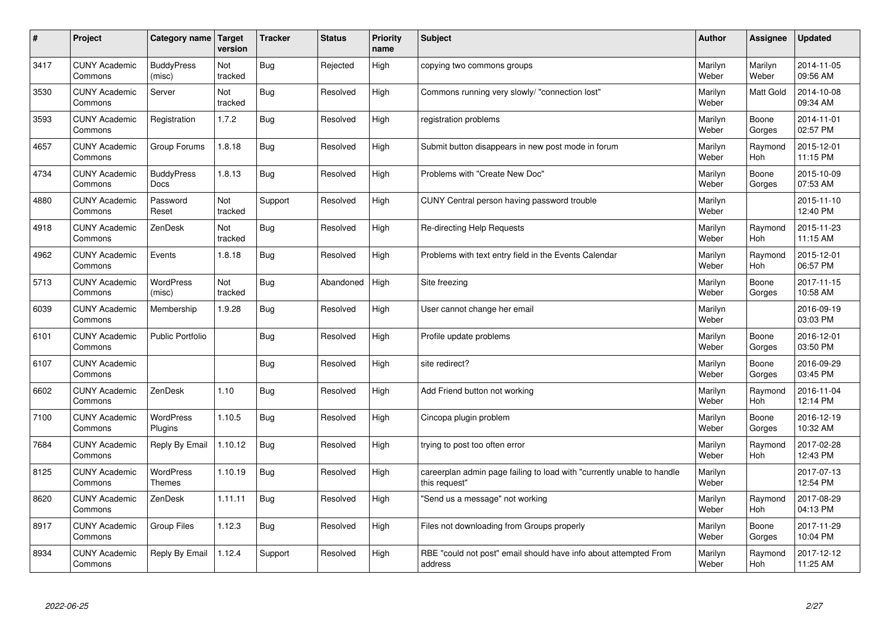| #    | Project                         | Category name                    | Target<br>version | <b>Tracker</b> | <b>Status</b> | <b>Priority</b><br>name | <b>Subject</b>                                                                          | <b>Author</b>    | Assignee         | <b>Updated</b>         |
|------|---------------------------------|----------------------------------|-------------------|----------------|---------------|-------------------------|-----------------------------------------------------------------------------------------|------------------|------------------|------------------------|
| 3417 | <b>CUNY Academic</b><br>Commons | <b>BuddyPress</b><br>(misc)      | Not<br>tracked    | <b>Bug</b>     | Rejected      | High                    | copying two commons groups                                                              | Marilyn<br>Weber | Marilyn<br>Weber | 2014-11-05<br>09:56 AM |
| 3530 | <b>CUNY Academic</b><br>Commons | Server                           | Not<br>tracked    | <b>Bug</b>     | Resolved      | High                    | Commons running very slowly/ "connection lost"                                          | Marilyn<br>Weber | <b>Matt Gold</b> | 2014-10-08<br>09:34 AM |
| 3593 | <b>CUNY Academic</b><br>Commons | Registration                     | 1.7.2             | <b>Bug</b>     | Resolved      | High                    | registration problems                                                                   | Marilyn<br>Weber | Boone<br>Gorges  | 2014-11-01<br>02:57 PM |
| 4657 | <b>CUNY Academic</b><br>Commons | Group Forums                     | 1.8.18            | <b>Bug</b>     | Resolved      | High                    | Submit button disappears in new post mode in forum                                      | Marilyn<br>Weber | Raymond<br>Hoh   | 2015-12-01<br>11:15 PM |
| 4734 | <b>CUNY Academic</b><br>Commons | <b>BuddyPress</b><br><b>Docs</b> | 1.8.13            | <b>Bug</b>     | Resolved      | High                    | Problems with "Create New Doc"                                                          | Marilyn<br>Weber | Boone<br>Gorges  | 2015-10-09<br>07:53 AM |
| 4880 | <b>CUNY Academic</b><br>Commons | Password<br>Reset                | Not<br>tracked    | Support        | Resolved      | High                    | CUNY Central person having password trouble                                             | Marilyn<br>Weber |                  | 2015-11-10<br>12:40 PM |
| 4918 | <b>CUNY Academic</b><br>Commons | ZenDesk                          | Not<br>tracked    | <b>Bug</b>     | Resolved      | High                    | Re-directing Help Requests                                                              | Marilyn<br>Weber | Raymond<br>Hoh   | 2015-11-23<br>11:15 AM |
| 4962 | <b>CUNY Academic</b><br>Commons | Events                           | 1.8.18            | Bug            | Resolved      | High                    | Problems with text entry field in the Events Calendar                                   | Marilyn<br>Weber | Raymond<br>Hoh   | 2015-12-01<br>06:57 PM |
| 5713 | <b>CUNY Academic</b><br>Commons | <b>WordPress</b><br>(misc)       | Not<br>tracked    | Bug            | Abandoned     | High                    | Site freezing                                                                           | Marilyn<br>Weber | Boone<br>Gorges  | 2017-11-15<br>10:58 AM |
| 6039 | <b>CUNY Academic</b><br>Commons | Membership                       | 1.9.28            | <b>Bug</b>     | Resolved      | High                    | User cannot change her email                                                            | Marilyn<br>Weber |                  | 2016-09-19<br>03:03 PM |
| 6101 | <b>CUNY Academic</b><br>Commons | <b>Public Portfolio</b>          |                   | Bug            | Resolved      | High                    | Profile update problems                                                                 | Marilyn<br>Weber | Boone<br>Gorges  | 2016-12-01<br>03:50 PM |
| 6107 | <b>CUNY Academic</b><br>Commons |                                  |                   | Bug            | Resolved      | High                    | site redirect?                                                                          | Marilyn<br>Weber | Boone<br>Gorges  | 2016-09-29<br>03:45 PM |
| 6602 | <b>CUNY Academic</b><br>Commons | ZenDesk                          | 1.10              | <b>Bug</b>     | Resolved      | High                    | Add Friend button not working                                                           | Marilyn<br>Weber | Raymond<br>Hoh   | 2016-11-04<br>12:14 PM |
| 7100 | <b>CUNY Academic</b><br>Commons | WordPress<br>Plugins             | 1.10.5            | <b>Bug</b>     | Resolved      | High                    | Cincopa plugin problem                                                                  | Marilyn<br>Weber | Boone<br>Gorges  | 2016-12-19<br>10:32 AM |
| 7684 | <b>CUNY Academic</b><br>Commons | Reply By Email                   | 1.10.12           | Bug            | Resolved      | High                    | trying to post too often error                                                          | Marilyn<br>Weber | Raymond<br>Hoh   | 2017-02-28<br>12:43 PM |
| 8125 | <b>CUNY Academic</b><br>Commons | WordPress<br><b>Themes</b>       | 1.10.19           | <b>Bug</b>     | Resolved      | High                    | careerplan admin page failing to load with "currently unable to handle<br>this request" | Marilyn<br>Weber |                  | 2017-07-13<br>12:54 PM |
| 8620 | <b>CUNY Academic</b><br>Commons | ZenDesk                          | 1.11.11           | Bug            | Resolved      | High                    | 'Send us a message" not working                                                         | Marilyn<br>Weber | Raymond<br>Hoh   | 2017-08-29<br>04:13 PM |
| 8917 | <b>CUNY Academic</b><br>Commons | <b>Group Files</b>               | 1.12.3            | <b>Bug</b>     | Resolved      | High                    | Files not downloading from Groups properly                                              | Marilyn<br>Weber | Boone<br>Gorges  | 2017-11-29<br>10:04 PM |
| 8934 | <b>CUNY Academic</b><br>Commons | Reply By Email                   | 1.12.4            | Support        | Resolved      | High                    | RBE "could not post" email should have info about attempted From<br>address             | Marilyn<br>Weber | Raymond<br>Hoh   | 2017-12-12<br>11:25 AM |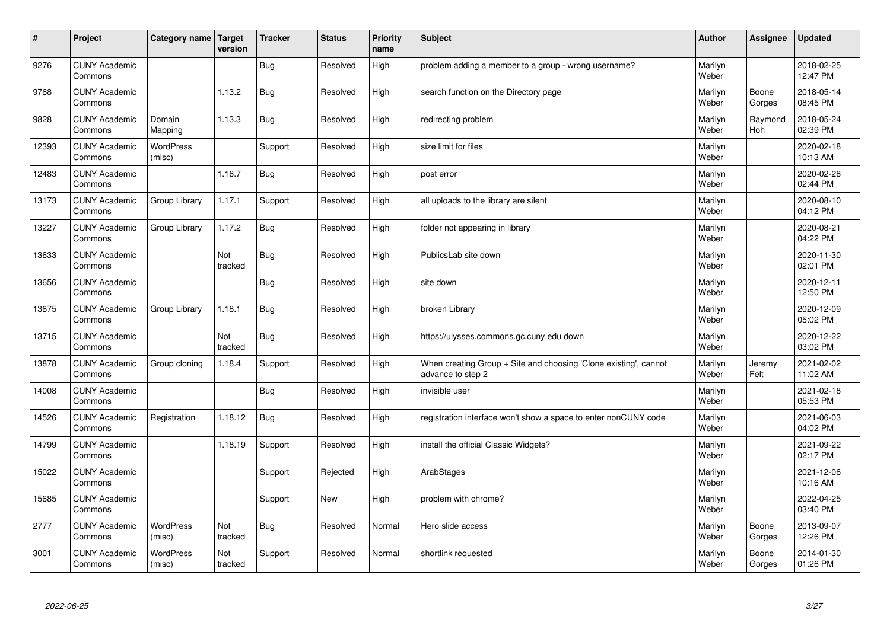| $\vert$ # | Project                         | Category name   Target     | version        | <b>Tracker</b> | <b>Status</b> | <b>Priority</b><br>name | <b>Subject</b>                                                                        | <b>Author</b>    | Assignee              | Updated                |
|-----------|---------------------------------|----------------------------|----------------|----------------|---------------|-------------------------|---------------------------------------------------------------------------------------|------------------|-----------------------|------------------------|
| 9276      | <b>CUNY Academic</b><br>Commons |                            |                | <b>Bug</b>     | Resolved      | High                    | problem adding a member to a group - wrong username?                                  | Marilyn<br>Weber |                       | 2018-02-25<br>12:47 PM |
| 9768      | <b>CUNY Academic</b><br>Commons |                            | 1.13.2         | <b>Bug</b>     | Resolved      | High                    | search function on the Directory page                                                 | Marilyn<br>Weber | Boone<br>Gorges       | 2018-05-14<br>08:45 PM |
| 9828      | <b>CUNY Academic</b><br>Commons | Domain<br>Mapping          | 1.13.3         | <b>Bug</b>     | Resolved      | High                    | redirecting problem                                                                   | Marilyn<br>Weber | Raymond<br><b>Hoh</b> | 2018-05-24<br>02:39 PM |
| 12393     | <b>CUNY Academic</b><br>Commons | <b>WordPress</b><br>(misc) |                | Support        | Resolved      | High                    | size limit for files                                                                  | Marilyn<br>Weber |                       | 2020-02-18<br>10:13 AM |
| 12483     | <b>CUNY Academic</b><br>Commons |                            | 1.16.7         | <b>Bug</b>     | Resolved      | High                    | post error                                                                            | Marilyn<br>Weber |                       | 2020-02-28<br>02:44 PM |
| 13173     | <b>CUNY Academic</b><br>Commons | Group Library              | 1.17.1         | Support        | Resolved      | High                    | all uploads to the library are silent                                                 | Marilyn<br>Weber |                       | 2020-08-10<br>04:12 PM |
| 13227     | <b>CUNY Academic</b><br>Commons | Group Library              | 1.17.2         | <b>Bug</b>     | Resolved      | High                    | folder not appearing in library                                                       | Marilyn<br>Weber |                       | 2020-08-21<br>04:22 PM |
| 13633     | <b>CUNY Academic</b><br>Commons |                            | Not<br>tracked | Bug            | Resolved      | High                    | PublicsLab site down                                                                  | Marilyn<br>Weber |                       | 2020-11-30<br>02:01 PM |
| 13656     | <b>CUNY Academic</b><br>Commons |                            |                | Bug            | Resolved      | High                    | site down                                                                             | Marilyn<br>Weber |                       | 2020-12-11<br>12:50 PM |
| 13675     | <b>CUNY Academic</b><br>Commons | Group Library              | 1.18.1         | Bug            | Resolved      | High                    | broken Library                                                                        | Marilyn<br>Weber |                       | 2020-12-09<br>05:02 PM |
| 13715     | <b>CUNY Academic</b><br>Commons |                            | Not<br>tracked | Bug            | Resolved      | High                    | https://ulysses.commons.gc.cuny.edu down                                              | Marilyn<br>Weber |                       | 2020-12-22<br>03:02 PM |
| 13878     | <b>CUNY Academic</b><br>Commons | Group cloning              | 1.18.4         | Support        | Resolved      | High                    | When creating Group + Site and choosing 'Clone existing', cannot<br>advance to step 2 | Marilyn<br>Weber | Jeremy<br>Felt        | 2021-02-02<br>11:02 AM |
| 14008     | <b>CUNY Academic</b><br>Commons |                            |                | <b>Bug</b>     | Resolved      | High                    | invisible user                                                                        | Marilyn<br>Weber |                       | 2021-02-18<br>05:53 PM |
| 14526     | <b>CUNY Academic</b><br>Commons | Registration               | 1.18.12        | <b>Bug</b>     | Resolved      | High                    | registration interface won't show a space to enter nonCUNY code                       | Marilyn<br>Weber |                       | 2021-06-03<br>04:02 PM |
| 14799     | <b>CUNY Academic</b><br>Commons |                            | 1.18.19        | Support        | Resolved      | High                    | install the official Classic Widgets?                                                 | Marilyn<br>Weber |                       | 2021-09-22<br>02:17 PM |
| 15022     | <b>CUNY Academic</b><br>Commons |                            |                | Support        | Rejected      | High                    | ArabStages                                                                            | Marilyn<br>Weber |                       | 2021-12-06<br>10:16 AM |
| 15685     | <b>CUNY Academic</b><br>Commons |                            |                | Support        | New           | High                    | problem with chrome?                                                                  | Marilyn<br>Weber |                       | 2022-04-25<br>03:40 PM |
| 2777      | <b>CUNY Academic</b><br>Commons | WordPress<br>(misc)        | Not<br>tracked | <b>Bug</b>     | Resolved      | Normal                  | Hero slide access                                                                     | Marilyn<br>Weber | Boone<br>Gorges       | 2013-09-07<br>12:26 PM |
| 3001      | <b>CUNY Academic</b><br>Commons | <b>WordPress</b><br>(misc) | Not<br>tracked | Support        | Resolved      | Normal                  | shortlink requested                                                                   | Marilyn<br>Weber | Boone<br>Gorges       | 2014-01-30<br>01:26 PM |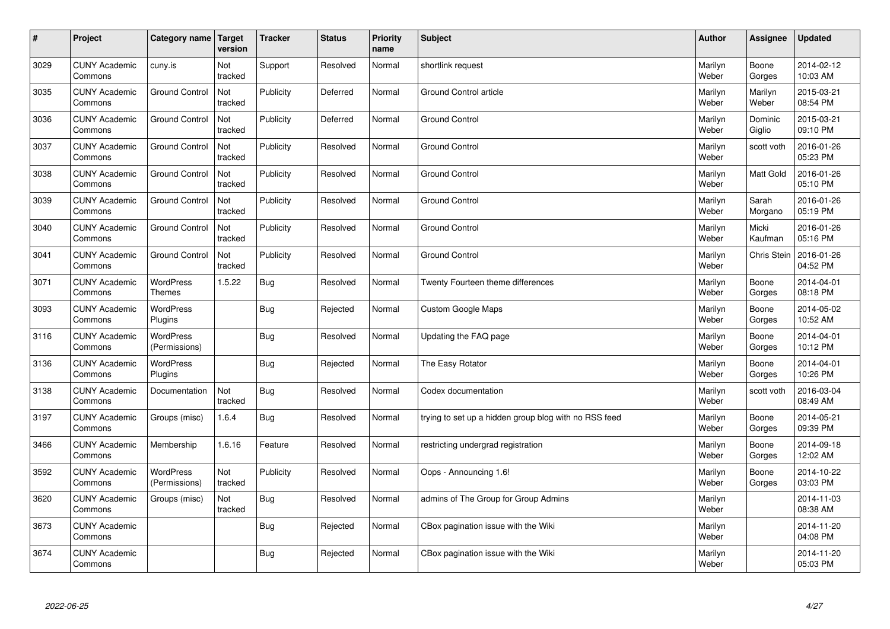| $\sharp$ | Project                         | Category name   Target            | version        | <b>Tracker</b> | <b>Status</b> | <b>Priority</b><br>name | <b>Subject</b>                                        | <b>Author</b>    | Assignee          | <b>Updated</b>         |
|----------|---------------------------------|-----------------------------------|----------------|----------------|---------------|-------------------------|-------------------------------------------------------|------------------|-------------------|------------------------|
| 3029     | <b>CUNY Academic</b><br>Commons | cuny.is                           | Not<br>tracked | Support        | Resolved      | Normal                  | shortlink request                                     | Marilyn<br>Weber | Boone<br>Gorges   | 2014-02-12<br>10:03 AM |
| 3035     | <b>CUNY Academic</b><br>Commons | <b>Ground Control</b>             | Not<br>tracked | Publicity      | Deferred      | Normal                  | Ground Control article                                | Marilyn<br>Weber | Marilyn<br>Weber  | 2015-03-21<br>08:54 PM |
| 3036     | <b>CUNY Academic</b><br>Commons | <b>Ground Control</b>             | Not<br>tracked | Publicity      | Deferred      | Normal                  | <b>Ground Control</b>                                 | Marilyn<br>Weber | Dominic<br>Giglio | 2015-03-21<br>09:10 PM |
| 3037     | <b>CUNY Academic</b><br>Commons | <b>Ground Control</b>             | Not<br>tracked | Publicity      | Resolved      | Normal                  | <b>Ground Control</b>                                 | Marilyn<br>Weber | scott voth        | 2016-01-26<br>05:23 PM |
| 3038     | <b>CUNY Academic</b><br>Commons | <b>Ground Control</b>             | Not<br>tracked | Publicity      | Resolved      | Normal                  | <b>Ground Control</b>                                 | Marilyn<br>Weber | Matt Gold         | 2016-01-26<br>05:10 PM |
| 3039     | <b>CUNY Academic</b><br>Commons | <b>Ground Control</b>             | Not<br>tracked | Publicity      | Resolved      | Normal                  | Ground Control                                        | Marilyn<br>Weber | Sarah<br>Morgano  | 2016-01-26<br>05:19 PM |
| 3040     | <b>CUNY Academic</b><br>Commons | <b>Ground Control</b>             | Not<br>tracked | Publicity      | Resolved      | Normal                  | <b>Ground Control</b>                                 | Marilyn<br>Weber | Micki<br>Kaufman  | 2016-01-26<br>05:16 PM |
| 3041     | <b>CUNY Academic</b><br>Commons | <b>Ground Control</b>             | Not<br>tracked | Publicity      | Resolved      | Normal                  | <b>Ground Control</b>                                 | Marilyn<br>Weber | Chris Stein       | 2016-01-26<br>04:52 PM |
| 3071     | <b>CUNY Academic</b><br>Commons | <b>WordPress</b><br><b>Themes</b> | 1.5.22         | Bug            | Resolved      | Normal                  | Twenty Fourteen theme differences                     | Marilyn<br>Weber | Boone<br>Gorges   | 2014-04-01<br>08:18 PM |
| 3093     | <b>CUNY Academic</b><br>Commons | WordPress<br>Plugins              |                | Bug            | Rejected      | Normal                  | <b>Custom Google Maps</b>                             | Marilyn<br>Weber | Boone<br>Gorges   | 2014-05-02<br>10:52 AM |
| 3116     | <b>CUNY Academic</b><br>Commons | WordPress<br>(Permissions)        |                | <b>Bug</b>     | Resolved      | Normal                  | Updating the FAQ page                                 | Marilyn<br>Weber | Boone<br>Gorges   | 2014-04-01<br>10:12 PM |
| 3136     | <b>CUNY Academic</b><br>Commons | <b>WordPress</b><br>Plugins       |                | <b>Bug</b>     | Rejected      | Normal                  | The Easy Rotator                                      | Marilyn<br>Weber | Boone<br>Gorges   | 2014-04-01<br>10:26 PM |
| 3138     | <b>CUNY Academic</b><br>Commons | Documentation                     | Not<br>tracked | Bug            | Resolved      | Normal                  | Codex documentation                                   | Marilyn<br>Weber | scott voth        | 2016-03-04<br>08:49 AM |
| 3197     | <b>CUNY Academic</b><br>Commons | Groups (misc)                     | 1.6.4          | Bug            | Resolved      | Normal                  | trying to set up a hidden group blog with no RSS feed | Marilyn<br>Weber | Boone<br>Gorges   | 2014-05-21<br>09:39 PM |
| 3466     | <b>CUNY Academic</b><br>Commons | Membership                        | 1.6.16         | Feature        | Resolved      | Normal                  | restricting undergrad registration                    | Marilyn<br>Weber | Boone<br>Gorges   | 2014-09-18<br>12:02 AM |
| 3592     | <b>CUNY Academic</b><br>Commons | WordPress<br>(Permissions)        | Not<br>tracked | Publicity      | Resolved      | Normal                  | Oops - Announcing 1.6!                                | Marilyn<br>Weber | Boone<br>Gorges   | 2014-10-22<br>03:03 PM |
| 3620     | <b>CUNY Academic</b><br>Commons | Groups (misc)                     | Not<br>tracked | Bug            | Resolved      | Normal                  | admins of The Group for Group Admins                  | Marilyn<br>Weber |                   | 2014-11-03<br>08:38 AM |
| 3673     | <b>CUNY Academic</b><br>Commons |                                   |                | Bug            | Rejected      | Normal                  | CBox pagination issue with the Wiki                   | Marilyn<br>Weber |                   | 2014-11-20<br>04:08 PM |
| 3674     | <b>CUNY Academic</b><br>Commons |                                   |                | Bug            | Rejected      | Normal                  | CBox pagination issue with the Wiki                   | Marilyn<br>Weber |                   | 2014-11-20<br>05:03 PM |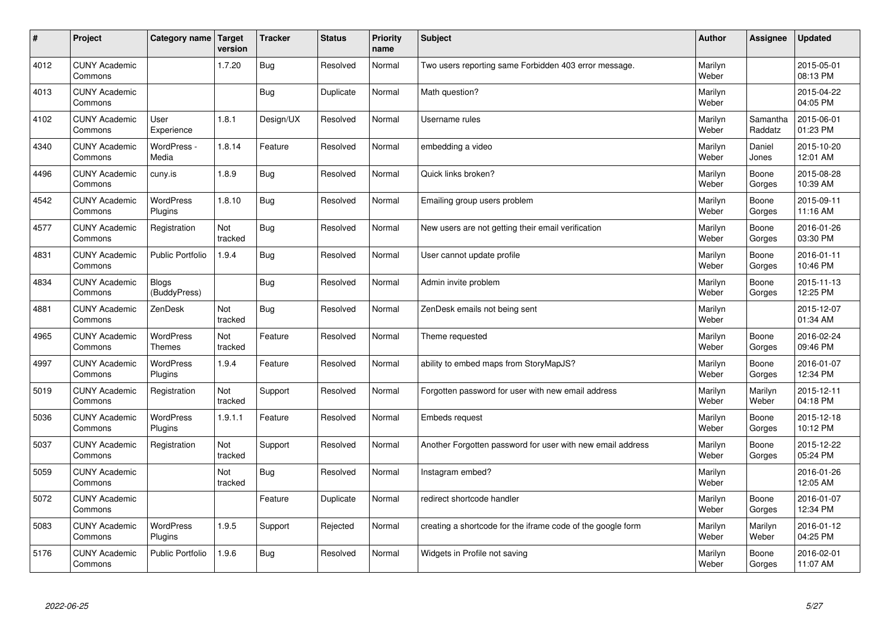| $\sharp$ | Project                         | Category name   Target       | version        | <b>Tracker</b> | <b>Status</b> | <b>Priority</b><br>name | <b>Subject</b>                                              | <b>Author</b>    | Assignee            | <b>Updated</b>         |
|----------|---------------------------------|------------------------------|----------------|----------------|---------------|-------------------------|-------------------------------------------------------------|------------------|---------------------|------------------------|
| 4012     | <b>CUNY Academic</b><br>Commons |                              | 1.7.20         | Bug            | Resolved      | Normal                  | Two users reporting same Forbidden 403 error message.       | Marilyn<br>Weber |                     | 2015-05-01<br>08:13 PM |
| 4013     | <b>CUNY Academic</b><br>Commons |                              |                | Bug            | Duplicate     | Normal                  | Math question?                                              | Marilyn<br>Weber |                     | 2015-04-22<br>04:05 PM |
| 4102     | <b>CUNY Academic</b><br>Commons | User<br>Experience           | 1.8.1          | Design/UX      | Resolved      | Normal                  | Username rules                                              | Marilyn<br>Weber | Samantha<br>Raddatz | 2015-06-01<br>01:23 PM |
| 4340     | <b>CUNY Academic</b><br>Commons | WordPress -<br>Media         | 1.8.14         | Feature        | Resolved      | Normal                  | embedding a video                                           | Marilyn<br>Weber | Daniel<br>Jones     | 2015-10-20<br>12:01 AM |
| 4496     | <b>CUNY Academic</b><br>Commons | cuny.is                      | 1.8.9          | Bug            | Resolved      | Normal                  | Quick links broken?                                         | Marilyn<br>Weber | Boone<br>Gorges     | 2015-08-28<br>10:39 AM |
| 4542     | <b>CUNY Academic</b><br>Commons | WordPress<br>Plugins         | 1.8.10         | <b>Bug</b>     | Resolved      | Normal                  | Emailing group users problem                                | Marilyn<br>Weber | Boone<br>Gorges     | 2015-09-11<br>11:16 AM |
| 4577     | <b>CUNY Academic</b><br>Commons | Registration                 | Not<br>tracked | Bug            | Resolved      | Normal                  | New users are not getting their email verification          | Marilyn<br>Weber | Boone<br>Gorges     | 2016-01-26<br>03:30 PM |
| 4831     | <b>CUNY Academic</b><br>Commons | <b>Public Portfolio</b>      | 1.9.4          | Bug            | Resolved      | Normal                  | User cannot update profile                                  | Marilyn<br>Weber | Boone<br>Gorges     | 2016-01-11<br>10:46 PM |
| 4834     | <b>CUNY Academic</b><br>Commons | <b>Blogs</b><br>(BuddyPress) |                | Bug            | Resolved      | Normal                  | Admin invite problem                                        | Marilyn<br>Weber | Boone<br>Gorges     | 2015-11-13<br>12:25 PM |
| 4881     | <b>CUNY Academic</b><br>Commons | ZenDesk                      | Not<br>tracked | Bug            | Resolved      | Normal                  | ZenDesk emails not being sent                               | Marilyn<br>Weber |                     | 2015-12-07<br>01:34 AM |
| 4965     | <b>CUNY Academic</b><br>Commons | WordPress<br><b>Themes</b>   | Not<br>tracked | Feature        | Resolved      | Normal                  | Theme requested                                             | Marilyn<br>Weber | Boone<br>Gorges     | 2016-02-24<br>09:46 PM |
| 4997     | <b>CUNY Academic</b><br>Commons | <b>WordPress</b><br>Plugins  | 1.9.4          | Feature        | Resolved      | Normal                  | ability to embed maps from StoryMapJS?                      | Marilyn<br>Weber | Boone<br>Gorges     | 2016-01-07<br>12:34 PM |
| 5019     | <b>CUNY Academic</b><br>Commons | Registration                 | Not<br>tracked | Support        | Resolved      | Normal                  | Forgotten password for user with new email address          | Marilyn<br>Weber | Marilyn<br>Weber    | 2015-12-11<br>04:18 PM |
| 5036     | <b>CUNY Academic</b><br>Commons | WordPress<br>Plugins         | 1.9.1.1        | Feature        | Resolved      | Normal                  | <b>Embeds request</b>                                       | Marilyn<br>Weber | Boone<br>Gorges     | 2015-12-18<br>10:12 PM |
| 5037     | <b>CUNY Academic</b><br>Commons | Registration                 | Not<br>tracked | Support        | Resolved      | Normal                  | Another Forgotten password for user with new email address  | Marilyn<br>Weber | Boone<br>Gorges     | 2015-12-22<br>05:24 PM |
| 5059     | <b>CUNY Academic</b><br>Commons |                              | Not<br>tracked | Bug            | Resolved      | Normal                  | Instagram embed?                                            | Marilyn<br>Weber |                     | 2016-01-26<br>12:05 AM |
| 5072     | <b>CUNY Academic</b><br>Commons |                              |                | Feature        | Duplicate     | Normal                  | redirect shortcode handler                                  | Marilyn<br>Weber | Boone<br>Gorges     | 2016-01-07<br>12:34 PM |
| 5083     | <b>CUNY Academic</b><br>Commons | <b>WordPress</b><br>Plugins  | 1.9.5          | Support        | Rejected      | Normal                  | creating a shortcode for the iframe code of the google form | Marilyn<br>Weber | Marilyn<br>Weber    | 2016-01-12<br>04:25 PM |
| 5176     | <b>CUNY Academic</b><br>Commons | <b>Public Portfolio</b>      | 1.9.6          | Bug            | Resolved      | Normal                  | Widgets in Profile not saving                               | Marilyn<br>Weber | Boone<br>Gorges     | 2016-02-01<br>11:07 AM |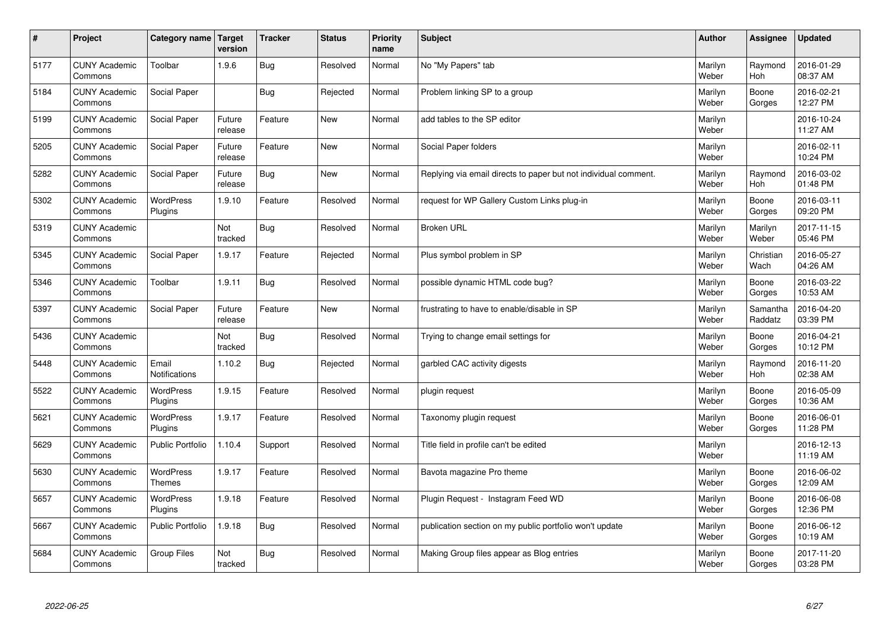| $\sharp$ | Project                         | Category name   Target            | version           | <b>Tracker</b> | <b>Status</b> | <b>Priority</b><br>name | <b>Subject</b>                                                  | <b>Author</b>    | Assignee            | <b>Updated</b>         |
|----------|---------------------------------|-----------------------------------|-------------------|----------------|---------------|-------------------------|-----------------------------------------------------------------|------------------|---------------------|------------------------|
| 5177     | <b>CUNY Academic</b><br>Commons | Toolbar                           | 1.9.6             | Bug            | Resolved      | Normal                  | No "My Papers" tab                                              | Marilyn<br>Weber | Raymond<br>Hoh      | 2016-01-29<br>08:37 AM |
| 5184     | <b>CUNY Academic</b><br>Commons | Social Paper                      |                   | Bug            | Rejected      | Normal                  | Problem linking SP to a group                                   | Marilyn<br>Weber | Boone<br>Gorges     | 2016-02-21<br>12:27 PM |
| 5199     | <b>CUNY Academic</b><br>Commons | Social Paper                      | Future<br>release | Feature        | New           | Normal                  | add tables to the SP editor                                     | Marilyn<br>Weber |                     | 2016-10-24<br>11:27 AM |
| 5205     | <b>CUNY Academic</b><br>Commons | Social Paper                      | Future<br>release | Feature        | <b>New</b>    | Normal                  | Social Paper folders                                            | Marilyn<br>Weber |                     | 2016-02-11<br>10:24 PM |
| 5282     | <b>CUNY Academic</b><br>Commons | Social Paper                      | Future<br>release | Bug            | <b>New</b>    | Normal                  | Replying via email directs to paper but not individual comment. | Marilyn<br>Weber | Raymond<br>Hoh      | 2016-03-02<br>01:48 PM |
| 5302     | <b>CUNY Academic</b><br>Commons | WordPress<br>Plugins              | 1.9.10            | Feature        | Resolved      | Normal                  | request for WP Gallery Custom Links plug-in                     | Marilyn<br>Weber | Boone<br>Gorges     | 2016-03-11<br>09:20 PM |
| 5319     | <b>CUNY Academic</b><br>Commons |                                   | Not<br>tracked    | Bug            | Resolved      | Normal                  | <b>Broken URL</b>                                               | Marilyn<br>Weber | Marilyn<br>Weber    | 2017-11-15<br>05:46 PM |
| 5345     | <b>CUNY Academic</b><br>Commons | Social Paper                      | 1.9.17            | Feature        | Rejected      | Normal                  | Plus symbol problem in SP                                       | Marilyn<br>Weber | Christian<br>Wach   | 2016-05-27<br>04:26 AM |
| 5346     | <b>CUNY Academic</b><br>Commons | Toolbar                           | 1.9.11            | Bug            | Resolved      | Normal                  | possible dynamic HTML code bug?                                 | Marilyn<br>Weber | Boone<br>Gorges     | 2016-03-22<br>10:53 AM |
| 5397     | <b>CUNY Academic</b><br>Commons | Social Paper                      | Future<br>release | Feature        | New           | Normal                  | frustrating to have to enable/disable in SP                     | Marilyn<br>Weber | Samantha<br>Raddatz | 2016-04-20<br>03:39 PM |
| 5436     | <b>CUNY Academic</b><br>Commons |                                   | Not<br>tracked    | Bug            | Resolved      | Normal                  | Trying to change email settings for                             | Marilyn<br>Weber | Boone<br>Gorges     | 2016-04-21<br>10:12 PM |
| 5448     | <b>CUNY Academic</b><br>Commons | Email<br>Notifications            | 1.10.2            | <b>Bug</b>     | Rejected      | Normal                  | garbled CAC activity digests                                    | Marilyn<br>Weber | Raymond<br>Hoh      | 2016-11-20<br>02:38 AM |
| 5522     | <b>CUNY Academic</b><br>Commons | <b>WordPress</b><br>Plugins       | 1.9.15            | Feature        | Resolved      | Normal                  | plugin request                                                  | Marilyn<br>Weber | Boone<br>Gorges     | 2016-05-09<br>10:36 AM |
| 5621     | <b>CUNY Academic</b><br>Commons | WordPress<br>Plugins              | 1.9.17            | Feature        | Resolved      | Normal                  | Taxonomy plugin request                                         | Marilyn<br>Weber | Boone<br>Gorges     | 2016-06-01<br>11:28 PM |
| 5629     | <b>CUNY Academic</b><br>Commons | <b>Public Portfolio</b>           | 1.10.4            | Support        | Resolved      | Normal                  | Title field in profile can't be edited                          | Marilyn<br>Weber |                     | 2016-12-13<br>11:19 AM |
| 5630     | <b>CUNY Academic</b><br>Commons | <b>WordPress</b><br><b>Themes</b> | 1.9.17            | Feature        | Resolved      | Normal                  | Bavota magazine Pro theme                                       | Marilyn<br>Weber | Boone<br>Gorges     | 2016-06-02<br>12:09 AM |
| 5657     | <b>CUNY Academic</b><br>Commons | WordPress<br>Plugins              | 1.9.18            | Feature        | Resolved      | Normal                  | Plugin Request - Instagram Feed WD                              | Marilyn<br>Weber | Boone<br>Gorges     | 2016-06-08<br>12:36 PM |
| 5667     | <b>CUNY Academic</b><br>Commons | Public Portfolio                  | 1.9.18            | Bug            | Resolved      | Normal                  | publication section on my public portfolio won't update         | Marilyn<br>Weber | Boone<br>Gorges     | 2016-06-12<br>10:19 AM |
| 5684     | <b>CUNY Academic</b><br>Commons | <b>Group Files</b>                | Not<br>tracked    | Bug            | Resolved      | Normal                  | Making Group files appear as Blog entries                       | Marilyn<br>Weber | Boone<br>Gorges     | 2017-11-20<br>03:28 PM |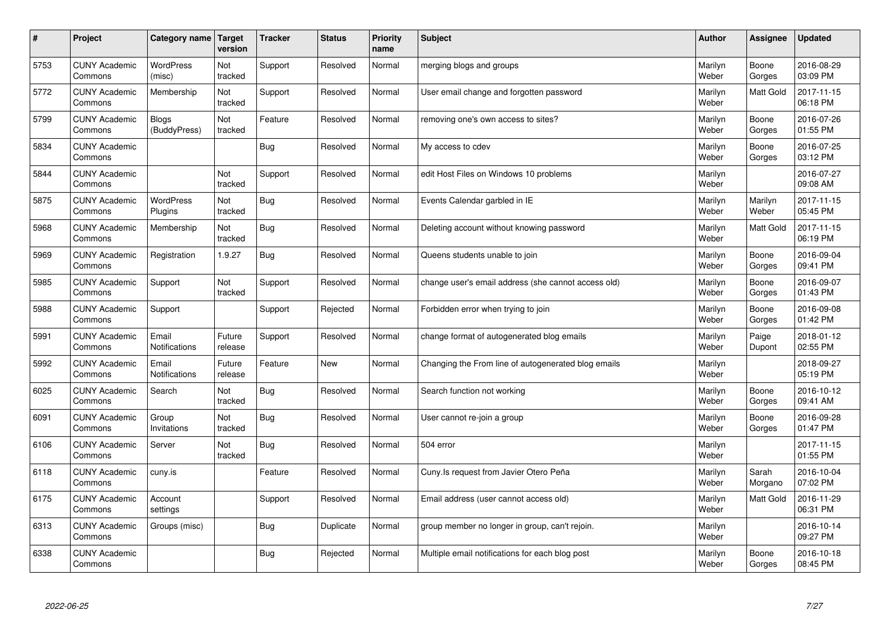| $\sharp$ | Project                         | Category name   Target       | version           | <b>Tracker</b> | <b>Status</b> | Priority<br>name | <b>Subject</b>                                      | <b>Author</b>    | <b>Assignee</b>  | <b>Updated</b>         |
|----------|---------------------------------|------------------------------|-------------------|----------------|---------------|------------------|-----------------------------------------------------|------------------|------------------|------------------------|
| 5753     | <b>CUNY Academic</b><br>Commons | <b>WordPress</b><br>(misc)   | Not<br>tracked    | Support        | Resolved      | Normal           | merging blogs and groups                            | Marilyn<br>Weber | Boone<br>Gorges  | 2016-08-29<br>03:09 PM |
| 5772     | <b>CUNY Academic</b><br>Commons | Membership                   | Not<br>tracked    | Support        | Resolved      | Normal           | User email change and forgotten password            | Marilyn<br>Weber | <b>Matt Gold</b> | 2017-11-15<br>06:18 PM |
| 5799     | <b>CUNY Academic</b><br>Commons | <b>Blogs</b><br>(BuddyPress) | Not<br>tracked    | Feature        | Resolved      | Normal           | removing one's own access to sites?                 | Marilyn<br>Weber | Boone<br>Gorges  | 2016-07-26<br>01:55 PM |
| 5834     | <b>CUNY Academic</b><br>Commons |                              |                   | <b>Bug</b>     | Resolved      | Normal           | My access to cdev                                   | Marilyn<br>Weber | Boone<br>Gorges  | 2016-07-25<br>03:12 PM |
| 5844     | <b>CUNY Academic</b><br>Commons |                              | Not<br>tracked    | Support        | Resolved      | Normal           | edit Host Files on Windows 10 problems              | Marilyn<br>Weber |                  | 2016-07-27<br>09:08 AM |
| 5875     | <b>CUNY Academic</b><br>Commons | <b>WordPress</b><br>Plugins  | Not<br>tracked    | Bug            | Resolved      | Normal           | Events Calendar garbled in IE                       | Marilyn<br>Weber | Marilyn<br>Weber | 2017-11-15<br>05:45 PM |
| 5968     | <b>CUNY Academic</b><br>Commons | Membership                   | Not<br>tracked    | Bug            | Resolved      | Normal           | Deleting account without knowing password           | Marilyn<br>Weber | <b>Matt Gold</b> | 2017-11-15<br>06:19 PM |
| 5969     | <b>CUNY Academic</b><br>Commons | Registration                 | 1.9.27            | <b>Bug</b>     | Resolved      | Normal           | Queens students unable to join                      | Marilyn<br>Weber | Boone<br>Gorges  | 2016-09-04<br>09:41 PM |
| 5985     | <b>CUNY Academic</b><br>Commons | Support                      | Not<br>tracked    | Support        | Resolved      | Normal           | change user's email address (she cannot access old) | Marilyn<br>Weber | Boone<br>Gorges  | 2016-09-07<br>01:43 PM |
| 5988     | <b>CUNY Academic</b><br>Commons | Support                      |                   | Support        | Rejected      | Normal           | Forbidden error when trying to join                 | Marilyn<br>Weber | Boone<br>Gorges  | 2016-09-08<br>01:42 PM |
| 5991     | <b>CUNY Academic</b><br>Commons | Email<br>Notifications       | Future<br>release | Support        | Resolved      | Normal           | change format of autogenerated blog emails          | Marilyn<br>Weber | Paige<br>Dupont  | 2018-01-12<br>02:55 PM |
| 5992     | <b>CUNY Academic</b><br>Commons | Email<br>Notifications       | Future<br>release | Feature        | <b>New</b>    | Normal           | Changing the From line of autogenerated blog emails | Marilyn<br>Weber |                  | 2018-09-27<br>05:19 PM |
| 6025     | <b>CUNY Academic</b><br>Commons | Search                       | Not<br>tracked    | <b>Bug</b>     | Resolved      | Normal           | Search function not working                         | Marilyn<br>Weber | Boone<br>Gorges  | 2016-10-12<br>09:41 AM |
| 6091     | <b>CUNY Academic</b><br>Commons | Group<br>Invitations         | Not<br>tracked    | <b>Bug</b>     | Resolved      | Normal           | User cannot re-join a group                         | Marilyn<br>Weber | Boone<br>Gorges  | 2016-09-28<br>01:47 PM |
| 6106     | <b>CUNY Academic</b><br>Commons | Server                       | Not<br>tracked    | Bug            | Resolved      | Normal           | 504 error                                           | Marilyn<br>Weber |                  | 2017-11-15<br>01:55 PM |
| 6118     | <b>CUNY Academic</b><br>Commons | cuny.is                      |                   | Feature        | Resolved      | Normal           | Cuny. Is request from Javier Otero Peña             | Marilyn<br>Weber | Sarah<br>Morgano | 2016-10-04<br>07:02 PM |
| 6175     | <b>CUNY Academic</b><br>Commons | Account<br>settings          |                   | Support        | Resolved      | Normal           | Email address (user cannot access old)              | Marilyn<br>Weber | <b>Matt Gold</b> | 2016-11-29<br>06:31 PM |
| 6313     | <b>CUNY Academic</b><br>Commons | Groups (misc)                |                   | <b>Bug</b>     | Duplicate     | Normal           | group member no longer in group, can't rejoin.      | Marilyn<br>Weber |                  | 2016-10-14<br>09:27 PM |
| 6338     | <b>CUNY Academic</b><br>Commons |                              |                   | <b>Bug</b>     | Rejected      | Normal           | Multiple email notifications for each blog post     | Marilyn<br>Weber | Boone<br>Gorges  | 2016-10-18<br>08:45 PM |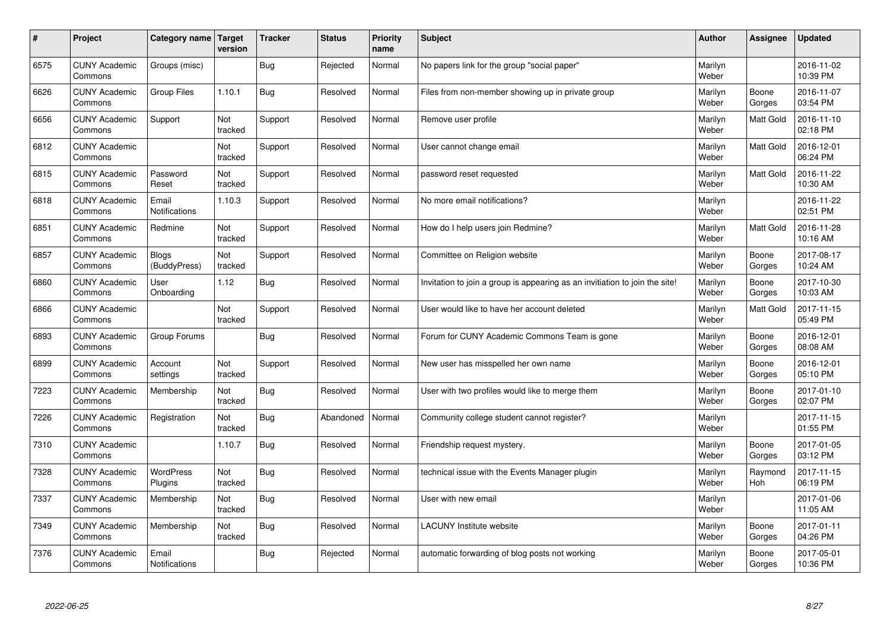| $\pmb{\#}$ | Project                         | Category name                 | Target<br>version | <b>Tracker</b> | <b>Status</b> | <b>Priority</b><br>name | <b>Subject</b>                                                              | <b>Author</b>    | Assignee        | <b>Updated</b>         |
|------------|---------------------------------|-------------------------------|-------------------|----------------|---------------|-------------------------|-----------------------------------------------------------------------------|------------------|-----------------|------------------------|
| 6575       | <b>CUNY Academic</b><br>Commons | Groups (misc)                 |                   | <b>Bug</b>     | Rejected      | Normal                  | No papers link for the group "social paper"                                 | Marilyn<br>Weber |                 | 2016-11-02<br>10:39 PM |
| 6626       | <b>CUNY Academic</b><br>Commons | Group Files                   | 1.10.1            | <b>Bug</b>     | Resolved      | Normal                  | Files from non-member showing up in private group                           | Marilyn<br>Weber | Boone<br>Gorges | 2016-11-07<br>03:54 PM |
| 6656       | <b>CUNY Academic</b><br>Commons | Support                       | Not<br>tracked    | Support        | Resolved      | Normal                  | Remove user profile                                                         | Marilyn<br>Weber | Matt Gold       | 2016-11-10<br>02:18 PM |
| 6812       | <b>CUNY Academic</b><br>Commons |                               | Not<br>tracked    | Support        | Resolved      | Normal                  | User cannot change email                                                    | Marilyn<br>Weber | Matt Gold       | 2016-12-01<br>06:24 PM |
| 6815       | <b>CUNY Academic</b><br>Commons | Password<br>Reset             | Not<br>tracked    | Support        | Resolved      | Normal                  | password reset requested                                                    | Marilyn<br>Weber | Matt Gold       | 2016-11-22<br>10:30 AM |
| 6818       | <b>CUNY Academic</b><br>Commons | Email<br><b>Notifications</b> | 1.10.3            | Support        | Resolved      | Normal                  | No more email notifications?                                                | Marilyn<br>Weber |                 | 2016-11-22<br>02:51 PM |
| 6851       | <b>CUNY Academic</b><br>Commons | Redmine                       | Not<br>tracked    | Support        | Resolved      | Normal                  | How do I help users join Redmine?                                           | Marilyn<br>Weber | Matt Gold       | 2016-11-28<br>10:16 AM |
| 6857       | <b>CUNY Academic</b><br>Commons | <b>Blogs</b><br>(BuddyPress)  | Not<br>tracked    | Support        | Resolved      | Normal                  | Committee on Religion website                                               | Marilyn<br>Weber | Boone<br>Gorges | 2017-08-17<br>10:24 AM |
| 6860       | <b>CUNY Academic</b><br>Commons | User<br>Onboarding            | 1.12              | Bug            | Resolved      | Normal                  | Invitation to join a group is appearing as an invitiation to join the site! | Marilyn<br>Weber | Boone<br>Gorges | 2017-10-30<br>10:03 AM |
| 6866       | <b>CUNY Academic</b><br>Commons |                               | Not<br>tracked    | Support        | Resolved      | Normal                  | User would like to have her account deleted                                 | Marilyn<br>Weber | Matt Gold       | 2017-11-15<br>05:49 PM |
| 6893       | <b>CUNY Academic</b><br>Commons | Group Forums                  |                   | <b>Bug</b>     | Resolved      | Normal                  | Forum for CUNY Academic Commons Team is gone                                | Marilyn<br>Weber | Boone<br>Gorges | 2016-12-01<br>08:08 AM |
| 6899       | <b>CUNY Academic</b><br>Commons | Account<br>settings           | Not<br>tracked    | Support        | Resolved      | Normal                  | New user has misspelled her own name                                        | Marilyn<br>Weber | Boone<br>Gorges | 2016-12-01<br>05:10 PM |
| 7223       | <b>CUNY Academic</b><br>Commons | Membership                    | Not<br>tracked    | Bug            | Resolved      | Normal                  | User with two profiles would like to merge them                             | Marilyn<br>Weber | Boone<br>Gorges | 2017-01-10<br>02:07 PM |
| 7226       | <b>CUNY Academic</b><br>Commons | Registration                  | Not<br>tracked    | <b>Bug</b>     | Abandoned     | Normal                  | Community college student cannot register?                                  | Marilyn<br>Weber |                 | 2017-11-15<br>01:55 PM |
| 7310       | <b>CUNY Academic</b><br>Commons |                               | 1.10.7            | Bug            | Resolved      | Normal                  | Friendship request mystery.                                                 | Marilyn<br>Weber | Boone<br>Gorges | 2017-01-05<br>03:12 PM |
| 7328       | <b>CUNY Academic</b><br>Commons | <b>WordPress</b><br>Plugins   | Not<br>tracked    | <b>Bug</b>     | Resolved      | Normal                  | technical issue with the Events Manager plugin                              | Marilyn<br>Weber | Raymond<br>Hoh  | 2017-11-15<br>06:19 PM |
| 7337       | <b>CUNY Academic</b><br>Commons | Membership                    | Not<br>tracked    | <b>Bug</b>     | Resolved      | Normal                  | User with new email                                                         | Marilyn<br>Weber |                 | 2017-01-06<br>11:05 AM |
| 7349       | <b>CUNY Academic</b><br>Commons | Membership                    | Not<br>tracked    | <b>Bug</b>     | Resolved      | Normal                  | <b>LACUNY Institute website</b>                                             | Marilyn<br>Weber | Boone<br>Gorges | 2017-01-11<br>04:26 PM |
| 7376       | <b>CUNY Academic</b><br>Commons | Email<br>Notifications        |                   | Bug            | Rejected      | Normal                  | automatic forwarding of blog posts not working                              | Marilyn<br>Weber | Boone<br>Gorges | 2017-05-01<br>10:36 PM |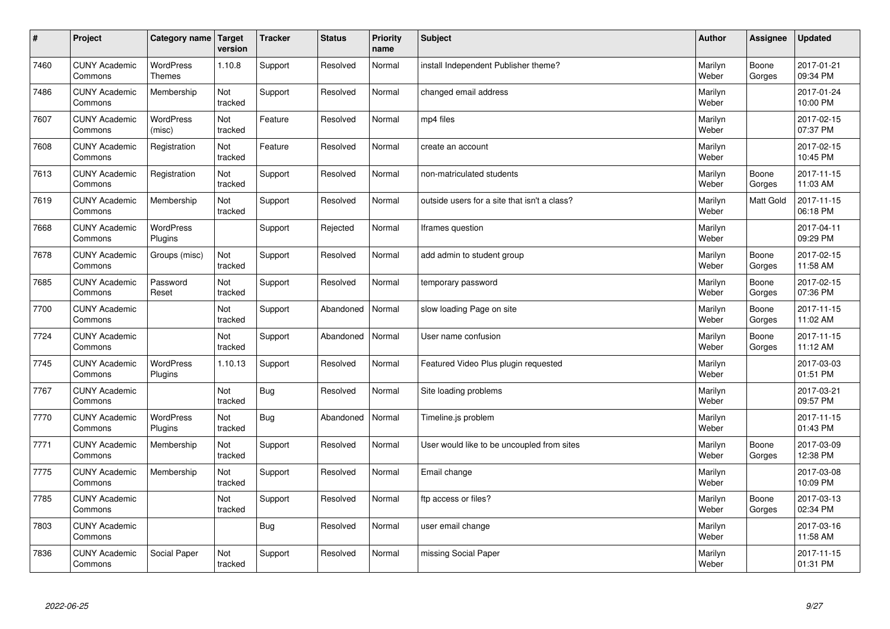| #    | Project                         | Category name   Target            | version        | <b>Tracker</b> | <b>Status</b> | Priority<br>name | <b>Subject</b>                               | <b>Author</b>    | <b>Assignee</b>  | <b>Updated</b>         |
|------|---------------------------------|-----------------------------------|----------------|----------------|---------------|------------------|----------------------------------------------|------------------|------------------|------------------------|
| 7460 | <b>CUNY Academic</b><br>Commons | <b>WordPress</b><br><b>Themes</b> | 1.10.8         | Support        | Resolved      | Normal           | install Independent Publisher theme?         | Marilyn<br>Weber | Boone<br>Gorges  | 2017-01-21<br>09:34 PM |
| 7486 | <b>CUNY Academic</b><br>Commons | Membership                        | Not<br>tracked | Support        | Resolved      | Normal           | changed email address                        | Marilyn<br>Weber |                  | 2017-01-24<br>10:00 PM |
| 7607 | <b>CUNY Academic</b><br>Commons | <b>WordPress</b><br>(misc)        | Not<br>tracked | Feature        | Resolved      | Normal           | mp4 files                                    | Marilyn<br>Weber |                  | 2017-02-15<br>07:37 PM |
| 7608 | <b>CUNY Academic</b><br>Commons | Registration                      | Not<br>tracked | Feature        | Resolved      | Normal           | create an account                            | Marilyn<br>Weber |                  | 2017-02-15<br>10:45 PM |
| 7613 | <b>CUNY Academic</b><br>Commons | Registration                      | Not<br>tracked | Support        | Resolved      | Normal           | non-matriculated students                    | Marilyn<br>Weber | Boone<br>Gorges  | 2017-11-15<br>11:03 AM |
| 7619 | <b>CUNY Academic</b><br>Commons | Membership                        | Not<br>tracked | Support        | Resolved      | Normal           | outside users for a site that isn't a class? | Marilyn<br>Weber | <b>Matt Gold</b> | 2017-11-15<br>06:18 PM |
| 7668 | <b>CUNY Academic</b><br>Commons | WordPress<br>Plugins              |                | Support        | Rejected      | Normal           | Iframes question                             | Marilyn<br>Weber |                  | 2017-04-11<br>09:29 PM |
| 7678 | <b>CUNY Academic</b><br>Commons | Groups (misc)                     | Not<br>tracked | Support        | Resolved      | Normal           | add admin to student group                   | Marilyn<br>Weber | Boone<br>Gorges  | 2017-02-15<br>11:58 AM |
| 7685 | <b>CUNY Academic</b><br>Commons | Password<br>Reset                 | Not<br>tracked | Support        | Resolved      | Normal           | temporary password                           | Marilyn<br>Weber | Boone<br>Gorges  | 2017-02-15<br>07:36 PM |
| 7700 | <b>CUNY Academic</b><br>Commons |                                   | Not<br>tracked | Support        | Abandoned     | Normal           | slow loading Page on site                    | Marilyn<br>Weber | Boone<br>Gorges  | 2017-11-15<br>11:02 AM |
| 7724 | <b>CUNY Academic</b><br>Commons |                                   | Not<br>tracked | Support        | Abandoned     | Normal           | User name confusion                          | Marilyn<br>Weber | Boone<br>Gorges  | 2017-11-15<br>11:12 AM |
| 7745 | <b>CUNY Academic</b><br>Commons | <b>WordPress</b><br>Plugins       | 1.10.13        | Support        | Resolved      | Normal           | Featured Video Plus plugin requested         | Marilyn<br>Weber |                  | 2017-03-03<br>01:51 PM |
| 7767 | <b>CUNY Academic</b><br>Commons |                                   | Not<br>tracked | Bug            | Resolved      | Normal           | Site loading problems                        | Marilyn<br>Weber |                  | 2017-03-21<br>09:57 PM |
| 7770 | <b>CUNY Academic</b><br>Commons | WordPress<br>Plugins              | Not<br>tracked | <b>Bug</b>     | Abandoned     | Normal           | Timeline.js problem                          | Marilyn<br>Weber |                  | 2017-11-15<br>01:43 PM |
| 7771 | <b>CUNY Academic</b><br>Commons | Membership                        | Not<br>tracked | Support        | Resolved      | Normal           | User would like to be uncoupled from sites   | Marilyn<br>Weber | Boone<br>Gorges  | 2017-03-09<br>12:38 PM |
| 7775 | <b>CUNY Academic</b><br>Commons | Membership                        | Not<br>tracked | Support        | Resolved      | Normal           | Email change                                 | Marilyn<br>Weber |                  | 2017-03-08<br>10:09 PM |
| 7785 | <b>CUNY Academic</b><br>Commons |                                   | Not<br>tracked | Support        | Resolved      | Normal           | ftp access or files?                         | Marilyn<br>Weber | Boone<br>Gorges  | 2017-03-13<br>02:34 PM |
| 7803 | <b>CUNY Academic</b><br>Commons |                                   |                | <b>Bug</b>     | Resolved      | Normal           | user email change                            | Marilyn<br>Weber |                  | 2017-03-16<br>11:58 AM |
| 7836 | <b>CUNY Academic</b><br>Commons | Social Paper                      | Not<br>tracked | Support        | Resolved      | Normal           | missing Social Paper                         | Marilyn<br>Weber |                  | 2017-11-15<br>01:31 PM |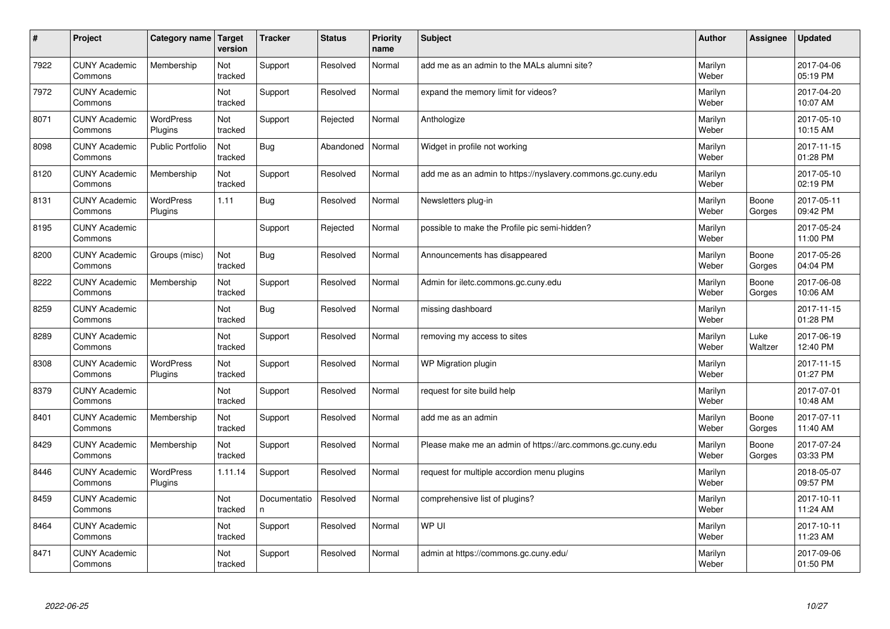| #    | Project                         | Category name               | Target<br>version | <b>Tracker</b>    | <b>Status</b> | <b>Priority</b><br>name | <b>Subject</b>                                              | <b>Author</b>    | Assignee        | <b>Updated</b>         |
|------|---------------------------------|-----------------------------|-------------------|-------------------|---------------|-------------------------|-------------------------------------------------------------|------------------|-----------------|------------------------|
| 7922 | <b>CUNY Academic</b><br>Commons | Membership                  | Not<br>tracked    | Support           | Resolved      | Normal                  | add me as an admin to the MALs alumni site?                 | Marilyn<br>Weber |                 | 2017-04-06<br>05:19 PM |
| 7972 | <b>CUNY Academic</b><br>Commons |                             | Not<br>tracked    | Support           | Resolved      | Normal                  | expand the memory limit for videos?                         | Marilyn<br>Weber |                 | 2017-04-20<br>10:07 AM |
| 8071 | <b>CUNY Academic</b><br>Commons | <b>WordPress</b><br>Plugins | Not<br>tracked    | Support           | Rejected      | Normal                  | Anthologize                                                 | Marilyn<br>Weber |                 | 2017-05-10<br>10:15 AM |
| 8098 | <b>CUNY Academic</b><br>Commons | <b>Public Portfolio</b>     | Not<br>tracked    | <b>Bug</b>        | Abandoned     | Normal                  | Widget in profile not working                               | Marilyn<br>Weber |                 | 2017-11-15<br>01:28 PM |
| 8120 | <b>CUNY Academic</b><br>Commons | Membership                  | Not<br>tracked    | Support           | Resolved      | Normal                  | add me as an admin to https://nyslavery.commons.gc.cuny.edu | Marilyn<br>Weber |                 | 2017-05-10<br>02:19 PM |
| 8131 | <b>CUNY Academic</b><br>Commons | <b>WordPress</b><br>Plugins | 1.11              | Bug               | Resolved      | Normal                  | Newsletters plug-in                                         | Marilyn<br>Weber | Boone<br>Gorges | 2017-05-11<br>09:42 PM |
| 8195 | <b>CUNY Academic</b><br>Commons |                             |                   | Support           | Rejected      | Normal                  | possible to make the Profile pic semi-hidden?               | Marilyn<br>Weber |                 | 2017-05-24<br>11:00 PM |
| 8200 | <b>CUNY Academic</b><br>Commons | Groups (misc)               | Not<br>tracked    | Bug               | Resolved      | Normal                  | Announcements has disappeared                               | Marilyn<br>Weber | Boone<br>Gorges | 2017-05-26<br>04:04 PM |
| 8222 | <b>CUNY Academic</b><br>Commons | Membership                  | Not<br>tracked    | Support           | Resolved      | Normal                  | Admin for iletc.commons.gc.cuny.edu                         | Marilyn<br>Weber | Boone<br>Gorges | 2017-06-08<br>10:06 AM |
| 8259 | <b>CUNY Academic</b><br>Commons |                             | Not<br>tracked    | <b>Bug</b>        | Resolved      | Normal                  | missing dashboard                                           | Marilyn<br>Weber |                 | 2017-11-15<br>01:28 PM |
| 8289 | <b>CUNY Academic</b><br>Commons |                             | Not<br>tracked    | Support           | Resolved      | Normal                  | removing my access to sites                                 | Marilyn<br>Weber | Luke<br>Waltzer | 2017-06-19<br>12:40 PM |
| 8308 | <b>CUNY Academic</b><br>Commons | <b>WordPress</b><br>Plugins | Not<br>tracked    | Support           | Resolved      | Normal                  | WP Migration plugin                                         | Marilyn<br>Weber |                 | 2017-11-15<br>01:27 PM |
| 8379 | <b>CUNY Academic</b><br>Commons |                             | Not<br>tracked    | Support           | Resolved      | Normal                  | request for site build help                                 | Marilyn<br>Weber |                 | 2017-07-01<br>10:48 AM |
| 8401 | <b>CUNY Academic</b><br>Commons | Membership                  | Not<br>tracked    | Support           | Resolved      | Normal                  | add me as an admin                                          | Marilyn<br>Weber | Boone<br>Gorges | 2017-07-11<br>11:40 AM |
| 8429 | <b>CUNY Academic</b><br>Commons | Membership                  | Not<br>tracked    | Support           | Resolved      | Normal                  | Please make me an admin of https://arc.commons.gc.cuny.edu  | Marilyn<br>Weber | Boone<br>Gorges | 2017-07-24<br>03:33 PM |
| 8446 | <b>CUNY Academic</b><br>Commons | <b>WordPress</b><br>Plugins | 1.11.14           | Support           | Resolved      | Normal                  | request for multiple accordion menu plugins                 | Marilyn<br>Weber |                 | 2018-05-07<br>09:57 PM |
| 8459 | <b>CUNY Academic</b><br>Commons |                             | Not<br>tracked    | Documentatio<br>n | Resolved      | Normal                  | comprehensive list of plugins?                              | Marilyn<br>Weber |                 | 2017-10-11<br>11:24 AM |
| 8464 | <b>CUNY Academic</b><br>Commons |                             | Not<br>tracked    | Support           | Resolved      | Normal                  | WP UI                                                       | Marilyn<br>Weber |                 | 2017-10-11<br>11:23 AM |
| 8471 | <b>CUNY Academic</b><br>Commons |                             | Not<br>tracked    | Support           | Resolved      | Normal                  | admin at https://commons.gc.cuny.edu/                       | Marilyn<br>Weber |                 | 2017-09-06<br>01:50 PM |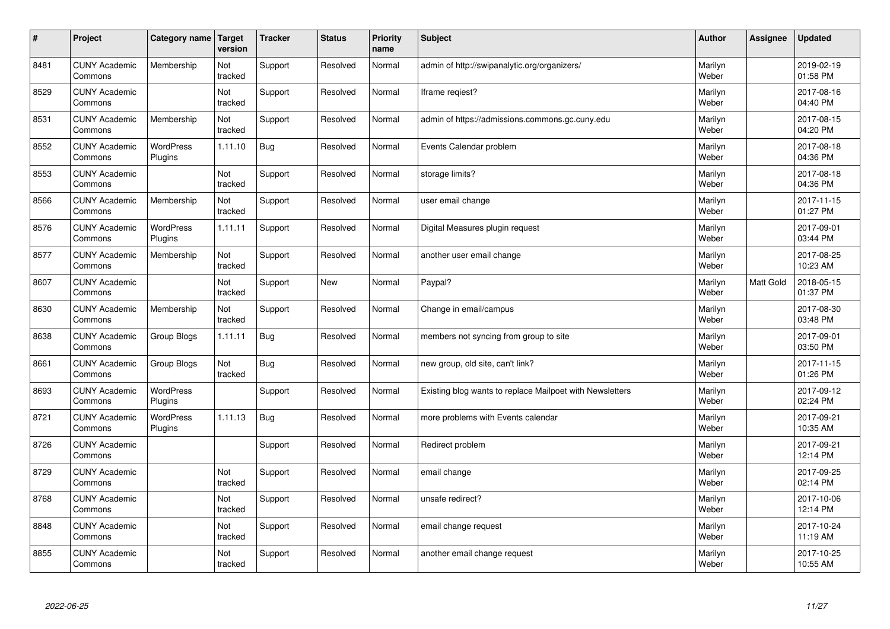| $\vert$ # | Project                         | Category name   Target      | version        | <b>Tracker</b> | <b>Status</b> | <b>Priority</b><br>name | <b>Subject</b>                                           | <b>Author</b>    | <b>Assignee</b> | <b>Updated</b>         |
|-----------|---------------------------------|-----------------------------|----------------|----------------|---------------|-------------------------|----------------------------------------------------------|------------------|-----------------|------------------------|
| 8481      | <b>CUNY Academic</b><br>Commons | Membership                  | Not<br>tracked | Support        | Resolved      | Normal                  | admin of http://swipanalytic.org/organizers/             | Marilyn<br>Weber |                 | 2019-02-19<br>01:58 PM |
| 8529      | <b>CUNY Academic</b><br>Commons |                             | Not<br>tracked | Support        | Resolved      | Normal                  | Iframe regiest?                                          | Marilyn<br>Weber |                 | 2017-08-16<br>04:40 PM |
| 8531      | <b>CUNY Academic</b><br>Commons | Membership                  | Not<br>tracked | Support        | Resolved      | Normal                  | admin of https://admissions.commons.gc.cuny.edu          | Marilyn<br>Weber |                 | 2017-08-15<br>04:20 PM |
| 8552      | <b>CUNY Academic</b><br>Commons | <b>WordPress</b><br>Plugins | 1.11.10        | Bug            | Resolved      | Normal                  | Events Calendar problem                                  | Marilyn<br>Weber |                 | 2017-08-18<br>04:36 PM |
| 8553      | <b>CUNY Academic</b><br>Commons |                             | Not<br>tracked | Support        | Resolved      | Normal                  | storage limits?                                          | Marilyn<br>Weber |                 | 2017-08-18<br>04:36 PM |
| 8566      | <b>CUNY Academic</b><br>Commons | Membership                  | Not<br>tracked | Support        | Resolved      | Normal                  | user email change                                        | Marilyn<br>Weber |                 | 2017-11-15<br>01:27 PM |
| 8576      | <b>CUNY Academic</b><br>Commons | WordPress<br>Plugins        | 1.11.11        | Support        | Resolved      | Normal                  | Digital Measures plugin request                          | Marilyn<br>Weber |                 | 2017-09-01<br>03:44 PM |
| 8577      | <b>CUNY Academic</b><br>Commons | Membership                  | Not<br>tracked | Support        | Resolved      | Normal                  | another user email change                                | Marilyn<br>Weber |                 | 2017-08-25<br>10:23 AM |
| 8607      | <b>CUNY Academic</b><br>Commons |                             | Not<br>tracked | Support        | <b>New</b>    | Normal                  | Paypal?                                                  | Marilyn<br>Weber | Matt Gold       | 2018-05-15<br>01:37 PM |
| 8630      | <b>CUNY Academic</b><br>Commons | Membership                  | Not<br>tracked | Support        | Resolved      | Normal                  | Change in email/campus                                   | Marilyn<br>Weber |                 | 2017-08-30<br>03:48 PM |
| 8638      | <b>CUNY Academic</b><br>Commons | Group Blogs                 | 1.11.11        | <b>Bug</b>     | Resolved      | Normal                  | members not syncing from group to site                   | Marilyn<br>Weber |                 | 2017-09-01<br>03:50 PM |
| 8661      | <b>CUNY Academic</b><br>Commons | Group Blogs                 | Not<br>tracked | <b>Bug</b>     | Resolved      | Normal                  | new group, old site, can't link?                         | Marilyn<br>Weber |                 | 2017-11-15<br>01:26 PM |
| 8693      | <b>CUNY Academic</b><br>Commons | WordPress<br>Plugins        |                | Support        | Resolved      | Normal                  | Existing blog wants to replace Mailpoet with Newsletters | Marilyn<br>Weber |                 | 2017-09-12<br>02:24 PM |
| 8721      | <b>CUNY Academic</b><br>Commons | WordPress<br>Plugins        | 1.11.13        | <b>Bug</b>     | Resolved      | Normal                  | more problems with Events calendar                       | Marilyn<br>Weber |                 | 2017-09-21<br>10:35 AM |
| 8726      | <b>CUNY Academic</b><br>Commons |                             |                | Support        | Resolved      | Normal                  | Redirect problem                                         | Marilyn<br>Weber |                 | 2017-09-21<br>12:14 PM |
| 8729      | <b>CUNY Academic</b><br>Commons |                             | Not<br>tracked | Support        | Resolved      | Normal                  | email change                                             | Marilyn<br>Weber |                 | 2017-09-25<br>02:14 PM |
| 8768      | <b>CUNY Academic</b><br>Commons |                             | Not<br>tracked | Support        | Resolved      | Normal                  | unsafe redirect?                                         | Marilyn<br>Weber |                 | 2017-10-06<br>12:14 PM |
| 8848      | <b>CUNY Academic</b><br>Commons |                             | Not<br>tracked | Support        | Resolved      | Normal                  | email change request                                     | Marilyn<br>Weber |                 | 2017-10-24<br>11:19 AM |
| 8855      | <b>CUNY Academic</b><br>Commons |                             | Not<br>tracked | Support        | Resolved      | Normal                  | another email change request                             | Marilyn<br>Weber |                 | 2017-10-25<br>10:55 AM |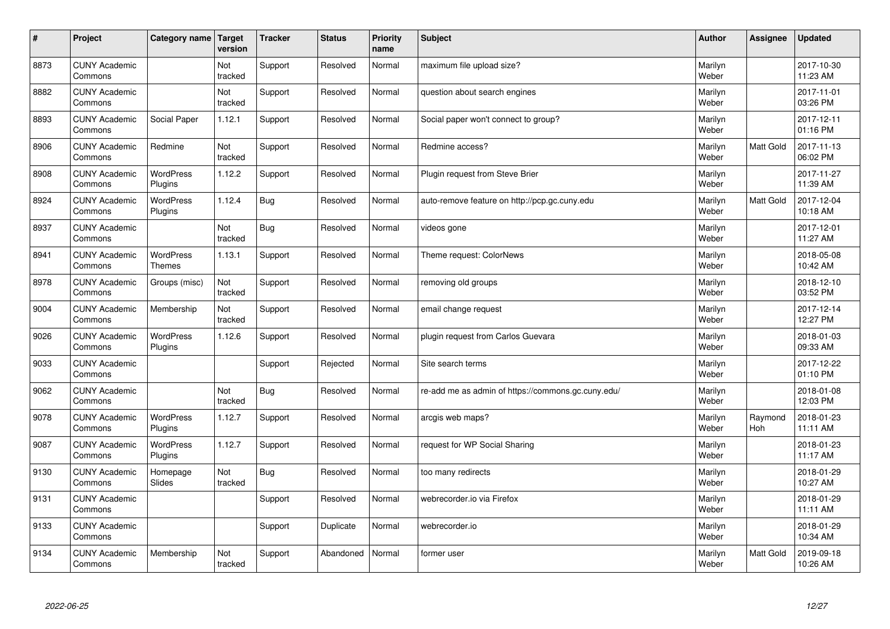| $\sharp$ | Project                         | Category name   Target      | version        | <b>Tracker</b> | <b>Status</b> | <b>Priority</b><br>name | <b>Subject</b>                                     | <b>Author</b>    | Assignee         | <b>Updated</b>         |
|----------|---------------------------------|-----------------------------|----------------|----------------|---------------|-------------------------|----------------------------------------------------|------------------|------------------|------------------------|
| 8873     | <b>CUNY Academic</b><br>Commons |                             | Not<br>tracked | Support        | Resolved      | Normal                  | maximum file upload size?                          | Marilyn<br>Weber |                  | 2017-10-30<br>11:23 AM |
| 8882     | <b>CUNY Academic</b><br>Commons |                             | Not<br>tracked | Support        | Resolved      | Normal                  | question about search engines                      | Marilyn<br>Weber |                  | 2017-11-01<br>03:26 PM |
| 8893     | <b>CUNY Academic</b><br>Commons | Social Paper                | 1.12.1         | Support        | Resolved      | Normal                  | Social paper won't connect to group?               | Marilyn<br>Weber |                  | 2017-12-11<br>01:16 PM |
| 8906     | <b>CUNY Academic</b><br>Commons | Redmine                     | Not<br>tracked | Support        | Resolved      | Normal                  | Redmine access?                                    | Marilyn<br>Weber | Matt Gold        | 2017-11-13<br>06:02 PM |
| 8908     | <b>CUNY Academic</b><br>Commons | <b>WordPress</b><br>Plugins | 1.12.2         | Support        | Resolved      | Normal                  | Plugin request from Steve Brier                    | Marilyn<br>Weber |                  | 2017-11-27<br>11:39 AM |
| 8924     | <b>CUNY Academic</b><br>Commons | <b>WordPress</b><br>Plugins | 1.12.4         | <b>Bug</b>     | Resolved      | Normal                  | auto-remove feature on http://pcp.gc.cuny.edu      | Marilyn<br>Weber | Matt Gold        | 2017-12-04<br>10:18 AM |
| 8937     | <b>CUNY Academic</b><br>Commons |                             | Not<br>tracked | <b>Bug</b>     | Resolved      | Normal                  | videos gone                                        | Marilyn<br>Weber |                  | 2017-12-01<br>11:27 AM |
| 8941     | <b>CUNY Academic</b><br>Commons | WordPress<br><b>Themes</b>  | 1.13.1         | Support        | Resolved      | Normal                  | Theme request: ColorNews                           | Marilyn<br>Weber |                  | 2018-05-08<br>10:42 AM |
| 8978     | <b>CUNY Academic</b><br>Commons | Groups (misc)               | Not<br>tracked | Support        | Resolved      | Normal                  | removing old groups                                | Marilyn<br>Weber |                  | 2018-12-10<br>03:52 PM |
| 9004     | <b>CUNY Academic</b><br>Commons | Membership                  | Not<br>tracked | Support        | Resolved      | Normal                  | email change request                               | Marilyn<br>Weber |                  | 2017-12-14<br>12:27 PM |
| 9026     | <b>CUNY Academic</b><br>Commons | <b>WordPress</b><br>Plugins | 1.12.6         | Support        | Resolved      | Normal                  | plugin request from Carlos Guevara                 | Marilyn<br>Weber |                  | 2018-01-03<br>09:33 AM |
| 9033     | <b>CUNY Academic</b><br>Commons |                             |                | Support        | Rejected      | Normal                  | Site search terms                                  | Marilyn<br>Weber |                  | 2017-12-22<br>01:10 PM |
| 9062     | <b>CUNY Academic</b><br>Commons |                             | Not<br>tracked | Bug            | Resolved      | Normal                  | re-add me as admin of https://commons.gc.cuny.edu/ | Marilyn<br>Weber |                  | 2018-01-08<br>12:03 PM |
| 9078     | <b>CUNY Academic</b><br>Commons | WordPress<br>Plugins        | 1.12.7         | Support        | Resolved      | Normal                  | arcgis web maps?                                   | Marilyn<br>Weber | Raymond<br>Hoh   | 2018-01-23<br>11:11 AM |
| 9087     | <b>CUNY Academic</b><br>Commons | WordPress<br>Plugins        | 1.12.7         | Support        | Resolved      | Normal                  | request for WP Social Sharing                      | Marilyn<br>Weber |                  | 2018-01-23<br>11:17 AM |
| 9130     | <b>CUNY Academic</b><br>Commons | Homepage<br>Slides          | Not<br>tracked | Bug            | Resolved      | Normal                  | too many redirects                                 | Marilyn<br>Weber |                  | 2018-01-29<br>10:27 AM |
| 9131     | <b>CUNY Academic</b><br>Commons |                             |                | Support        | Resolved      | Normal                  | webrecorder.io via Firefox                         | Marilyn<br>Weber |                  | 2018-01-29<br>11:11 AM |
| 9133     | <b>CUNY Academic</b><br>Commons |                             |                | Support        | Duplicate     | Normal                  | webrecorder.io                                     | Marilyn<br>Weber |                  | 2018-01-29<br>10:34 AM |
| 9134     | <b>CUNY Academic</b><br>Commons | Membership                  | Not<br>tracked | Support        | Abandoned     | Normal                  | former user                                        | Marilyn<br>Weber | <b>Matt Gold</b> | 2019-09-18<br>10:26 AM |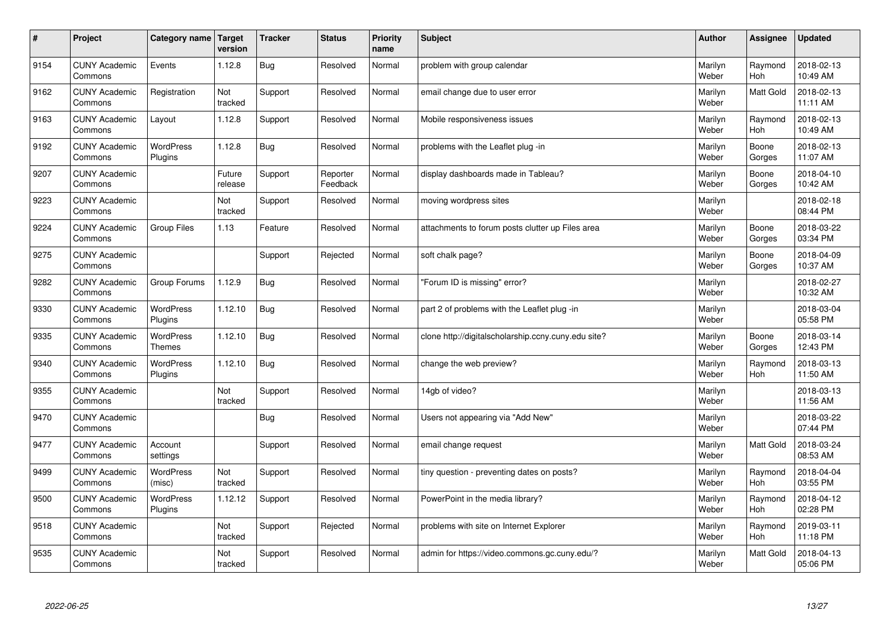| $\vert$ # | Project                         | Category name                     | <b>Target</b><br>version | <b>Tracker</b> | <b>Status</b>        | <b>Priority</b><br>name | <b>Subject</b>                                      | <b>Author</b>    | <b>Assignee</b>       | <b>Updated</b>         |
|-----------|---------------------------------|-----------------------------------|--------------------------|----------------|----------------------|-------------------------|-----------------------------------------------------|------------------|-----------------------|------------------------|
| 9154      | <b>CUNY Academic</b><br>Commons | Events                            | 1.12.8                   | Bug            | Resolved             | Normal                  | problem with group calendar                         | Marilyn<br>Weber | Raymond<br>Hoh        | 2018-02-13<br>10:49 AM |
| 9162      | <b>CUNY Academic</b><br>Commons | Registration                      | Not<br>tracked           | Support        | Resolved             | Normal                  | email change due to user error                      | Marilyn<br>Weber | Matt Gold             | 2018-02-13<br>11:11 AM |
| 9163      | <b>CUNY Academic</b><br>Commons | Layout                            | 1.12.8                   | Support        | Resolved             | Normal                  | Mobile responsiveness issues                        | Marilyn<br>Weber | Raymond<br>Hoh        | 2018-02-13<br>10:49 AM |
| 9192      | <b>CUNY Academic</b><br>Commons | <b>WordPress</b><br>Plugins       | 1.12.8                   | <b>Bug</b>     | Resolved             | Normal                  | problems with the Leaflet plug -in                  | Marilyn<br>Weber | Boone<br>Gorges       | 2018-02-13<br>11:07 AM |
| 9207      | <b>CUNY Academic</b><br>Commons |                                   | Future<br>release        | Support        | Reporter<br>Feedback | Normal                  | display dashboards made in Tableau?                 | Marilyn<br>Weber | Boone<br>Gorges       | 2018-04-10<br>10:42 AM |
| 9223      | <b>CUNY Academic</b><br>Commons |                                   | Not<br>tracked           | Support        | Resolved             | Normal                  | moving wordpress sites                              | Marilyn<br>Weber |                       | 2018-02-18<br>08:44 PM |
| 9224      | <b>CUNY Academic</b><br>Commons | <b>Group Files</b>                | 1.13                     | Feature        | Resolved             | Normal                  | attachments to forum posts clutter up Files area    | Marilyn<br>Weber | Boone<br>Gorges       | 2018-03-22<br>03:34 PM |
| 9275      | <b>CUNY Academic</b><br>Commons |                                   |                          | Support        | Rejected             | Normal                  | soft chalk page?                                    | Marilyn<br>Weber | Boone<br>Gorges       | 2018-04-09<br>10:37 AM |
| 9282      | <b>CUNY Academic</b><br>Commons | Group Forums                      | 1.12.9                   | Bug            | Resolved             | Normal                  | 'Forum ID is missing" error?                        | Marilyn<br>Weber |                       | 2018-02-27<br>10:32 AM |
| 9330      | <b>CUNY Academic</b><br>Commons | WordPress<br>Plugins              | 1.12.10                  | Bug            | Resolved             | Normal                  | part 2 of problems with the Leaflet plug -in        | Marilyn<br>Weber |                       | 2018-03-04<br>05:58 PM |
| 9335      | <b>CUNY Academic</b><br>Commons | <b>WordPress</b><br><b>Themes</b> | 1.12.10                  | Bug            | Resolved             | Normal                  | clone http://digitalscholarship.ccny.cuny.edu site? | Marilyn<br>Weber | Boone<br>Gorges       | 2018-03-14<br>12:43 PM |
| 9340      | <b>CUNY Academic</b><br>Commons | <b>WordPress</b><br>Plugins       | 1.12.10                  | <b>Bug</b>     | Resolved             | Normal                  | change the web preview?                             | Marilyn<br>Weber | Raymond<br>Hoh        | 2018-03-13<br>11:50 AM |
| 9355      | <b>CUNY Academic</b><br>Commons |                                   | Not<br>tracked           | Support        | Resolved             | Normal                  | 14gb of video?                                      | Marilyn<br>Weber |                       | 2018-03-13<br>11:56 AM |
| 9470      | <b>CUNY Academic</b><br>Commons |                                   |                          | Bug            | Resolved             | Normal                  | Users not appearing via "Add New"                   | Marilyn<br>Weber |                       | 2018-03-22<br>07:44 PM |
| 9477      | <b>CUNY Academic</b><br>Commons | Account<br>settings               |                          | Support        | Resolved             | Normal                  | email change request                                | Marilyn<br>Weber | Matt Gold             | 2018-03-24<br>08:53 AM |
| 9499      | <b>CUNY Academic</b><br>Commons | WordPress<br>(misc)               | Not<br>tracked           | Support        | Resolved             | Normal                  | tiny question - preventing dates on posts?          | Marilyn<br>Weber | Raymond<br>Hoh        | 2018-04-04<br>03:55 PM |
| 9500      | <b>CUNY Academic</b><br>Commons | WordPress<br>Plugins              | 1.12.12                  | Support        | Resolved             | Normal                  | PowerPoint in the media library?                    | Marilyn<br>Weber | Raymond<br>Hoh        | 2018-04-12<br>02:28 PM |
| 9518      | <b>CUNY Academic</b><br>Commons |                                   | Not<br>tracked           | Support        | Rejected             | Normal                  | problems with site on Internet Explorer             | Marilyn<br>Weber | Raymond<br><b>Hoh</b> | 2019-03-11<br>11:18 PM |
| 9535      | <b>CUNY Academic</b><br>Commons |                                   | Not<br>tracked           | Support        | Resolved             | Normal                  | admin for https://video.commons.gc.cuny.edu/?       | Marilyn<br>Weber | <b>Matt Gold</b>      | 2018-04-13<br>05:06 PM |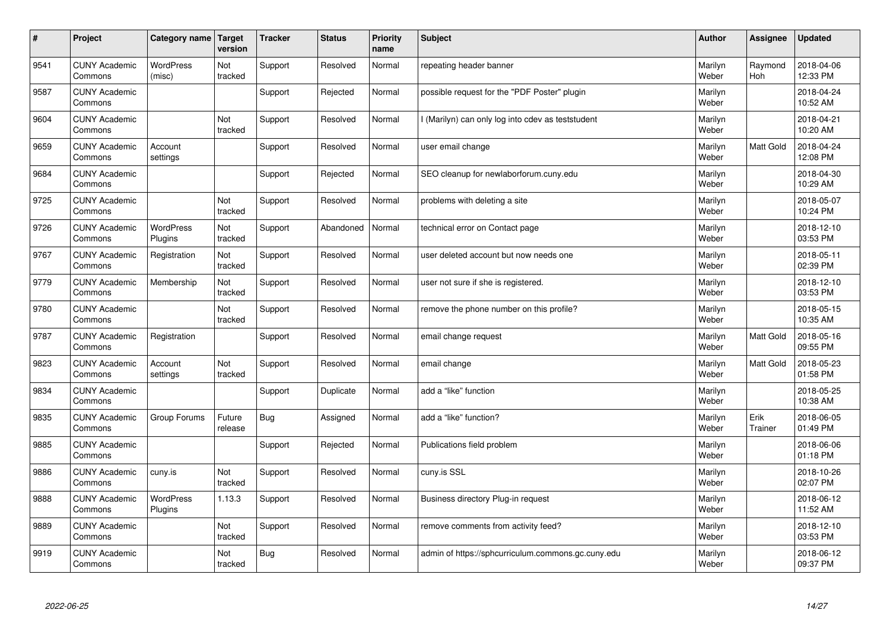| $\vert$ # | Project                         | Category name   Target      | version           | <b>Tracker</b> | <b>Status</b> | <b>Priority</b><br>name | <b>Subject</b>                                     | <b>Author</b>    | Assignee              | <b>Updated</b>         |
|-----------|---------------------------------|-----------------------------|-------------------|----------------|---------------|-------------------------|----------------------------------------------------|------------------|-----------------------|------------------------|
| 9541      | <b>CUNY Academic</b><br>Commons | <b>WordPress</b><br>(misc)  | Not<br>tracked    | Support        | Resolved      | Normal                  | repeating header banner                            | Marilyn<br>Weber | Raymond<br><b>Hoh</b> | 2018-04-06<br>12:33 PM |
| 9587      | <b>CUNY Academic</b><br>Commons |                             |                   | Support        | Rejected      | Normal                  | possible request for the "PDF Poster" plugin       | Marilyn<br>Weber |                       | 2018-04-24<br>10:52 AM |
| 9604      | <b>CUNY Academic</b><br>Commons |                             | Not<br>tracked    | Support        | Resolved      | Normal                  | I (Marilyn) can only log into cdev as teststudent  | Marilyn<br>Weber |                       | 2018-04-21<br>10:20 AM |
| 9659      | <b>CUNY Academic</b><br>Commons | Account<br>settings         |                   | Support        | Resolved      | Normal                  | user email change                                  | Marilyn<br>Weber | Matt Gold             | 2018-04-24<br>12:08 PM |
| 9684      | <b>CUNY Academic</b><br>Commons |                             |                   | Support        | Rejected      | Normal                  | SEO cleanup for newlaborforum.cuny.edu             | Marilyn<br>Weber |                       | 2018-04-30<br>10:29 AM |
| 9725      | <b>CUNY Academic</b><br>Commons |                             | Not<br>tracked    | Support        | Resolved      | Normal                  | problems with deleting a site                      | Marilyn<br>Weber |                       | 2018-05-07<br>10:24 PM |
| 9726      | <b>CUNY Academic</b><br>Commons | <b>WordPress</b><br>Plugins | Not<br>tracked    | Support        | Abandoned     | Normal                  | technical error on Contact page                    | Marilyn<br>Weber |                       | 2018-12-10<br>03:53 PM |
| 9767      | <b>CUNY Academic</b><br>Commons | Registration                | Not<br>tracked    | Support        | Resolved      | Normal                  | user deleted account but now needs one             | Marilyn<br>Weber |                       | 2018-05-11<br>02:39 PM |
| 9779      | <b>CUNY Academic</b><br>Commons | Membership                  | Not<br>tracked    | Support        | Resolved      | Normal                  | user not sure if she is registered.                | Marilyn<br>Weber |                       | 2018-12-10<br>03:53 PM |
| 9780      | <b>CUNY Academic</b><br>Commons |                             | Not<br>tracked    | Support        | Resolved      | Normal                  | remove the phone number on this profile?           | Marilyn<br>Weber |                       | 2018-05-15<br>10:35 AM |
| 9787      | <b>CUNY Academic</b><br>Commons | Registration                |                   | Support        | Resolved      | Normal                  | email change request                               | Marilyn<br>Weber | Matt Gold             | 2018-05-16<br>09:55 PM |
| 9823      | <b>CUNY Academic</b><br>Commons | Account<br>settings         | Not<br>tracked    | Support        | Resolved      | Normal                  | email change                                       | Marilyn<br>Weber | Matt Gold             | 2018-05-23<br>01:58 PM |
| 9834      | <b>CUNY Academic</b><br>Commons |                             |                   | Support        | Duplicate     | Normal                  | add a "like" function                              | Marilyn<br>Weber |                       | 2018-05-25<br>10:38 AM |
| 9835      | <b>CUNY Academic</b><br>Commons | Group Forums                | Future<br>release | <b>Bug</b>     | Assigned      | Normal                  | add a "like" function?                             | Marilyn<br>Weber | Erik<br>Trainer       | 2018-06-05<br>01:49 PM |
| 9885      | <b>CUNY Academic</b><br>Commons |                             |                   | Support        | Rejected      | Normal                  | Publications field problem                         | Marilyn<br>Weber |                       | 2018-06-06<br>01:18 PM |
| 9886      | <b>CUNY Academic</b><br>Commons | cuny.is                     | Not<br>tracked    | Support        | Resolved      | Normal                  | cuny.is SSL                                        | Marilyn<br>Weber |                       | 2018-10-26<br>02:07 PM |
| 9888      | <b>CUNY Academic</b><br>Commons | WordPress<br>Plugins        | 1.13.3            | Support        | Resolved      | Normal                  | Business directory Plug-in request                 | Marilyn<br>Weber |                       | 2018-06-12<br>11:52 AM |
| 9889      | <b>CUNY Academic</b><br>Commons |                             | Not<br>tracked    | Support        | Resolved      | Normal                  | remove comments from activity feed?                | Marilyn<br>Weber |                       | 2018-12-10<br>03:53 PM |
| 9919      | <b>CUNY Academic</b><br>Commons |                             | Not<br>tracked    | Bug            | Resolved      | Normal                  | admin of https://sphcurriculum.commons.gc.cuny.edu | Marilyn<br>Weber |                       | 2018-06-12<br>09:37 PM |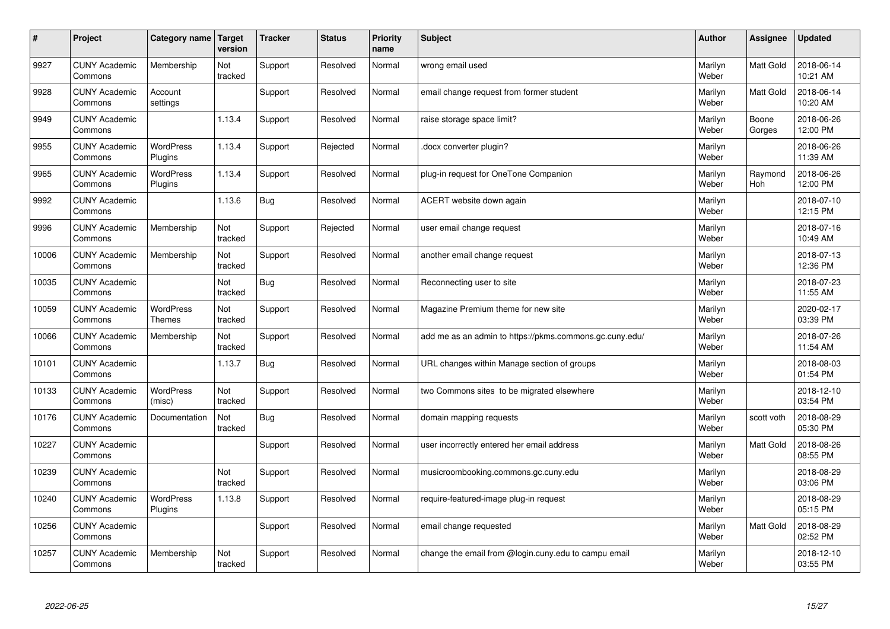| $\sharp$ | Project                         | Category name   Target            | version        | <b>Tracker</b> | <b>Status</b> | <b>Priority</b><br>name | <b>Subject</b>                                          | <b>Author</b>    | Assignee         | <b>Updated</b>         |
|----------|---------------------------------|-----------------------------------|----------------|----------------|---------------|-------------------------|---------------------------------------------------------|------------------|------------------|------------------------|
| 9927     | <b>CUNY Academic</b><br>Commons | Membership                        | Not<br>tracked | Support        | Resolved      | Normal                  | wrong email used                                        | Marilyn<br>Weber | <b>Matt Gold</b> | 2018-06-14<br>10:21 AM |
| 9928     | <b>CUNY Academic</b><br>Commons | Account<br>settings               |                | Support        | Resolved      | Normal                  | email change request from former student                | Marilyn<br>Weber | <b>Matt Gold</b> | 2018-06-14<br>10:20 AM |
| 9949     | <b>CUNY Academic</b><br>Commons |                                   | 1.13.4         | Support        | Resolved      | Normal                  | raise storage space limit?                              | Marilyn<br>Weber | Boone<br>Gorges  | 2018-06-26<br>12:00 PM |
| 9955     | <b>CUNY Academic</b><br>Commons | <b>WordPress</b><br>Plugins       | 1.13.4         | Support        | Rejected      | Normal                  | docx converter plugin?                                  | Marilyn<br>Weber |                  | 2018-06-26<br>11:39 AM |
| 9965     | <b>CUNY Academic</b><br>Commons | <b>WordPress</b><br>Plugins       | 1.13.4         | Support        | Resolved      | Normal                  | plug-in request for OneTone Companion                   | Marilyn<br>Weber | Raymond<br>Hoh   | 2018-06-26<br>12:00 PM |
| 9992     | <b>CUNY Academic</b><br>Commons |                                   | 1.13.6         | <b>Bug</b>     | Resolved      | Normal                  | ACERT website down again                                | Marilyn<br>Weber |                  | 2018-07-10<br>12:15 PM |
| 9996     | <b>CUNY Academic</b><br>Commons | Membership                        | Not<br>tracked | Support        | Rejected      | Normal                  | user email change request                               | Marilyn<br>Weber |                  | 2018-07-16<br>10:49 AM |
| 10006    | <b>CUNY Academic</b><br>Commons | Membership                        | Not<br>tracked | Support        | Resolved      | Normal                  | another email change request                            | Marilyn<br>Weber |                  | 2018-07-13<br>12:36 PM |
| 10035    | <b>CUNY Academic</b><br>Commons |                                   | Not<br>tracked | <b>Bug</b>     | Resolved      | Normal                  | Reconnecting user to site                               | Marilyn<br>Weber |                  | 2018-07-23<br>11:55 AM |
| 10059    | <b>CUNY Academic</b><br>Commons | <b>WordPress</b><br><b>Themes</b> | Not<br>tracked | Support        | Resolved      | Normal                  | Magazine Premium theme for new site                     | Marilyn<br>Weber |                  | 2020-02-17<br>03:39 PM |
| 10066    | <b>CUNY Academic</b><br>Commons | Membership                        | Not<br>tracked | Support        | Resolved      | Normal                  | add me as an admin to https://pkms.commons.gc.cuny.edu/ | Marilyn<br>Weber |                  | 2018-07-26<br>11:54 AM |
| 10101    | <b>CUNY Academic</b><br>Commons |                                   | 1.13.7         | <b>Bug</b>     | Resolved      | Normal                  | URL changes within Manage section of groups             | Marilyn<br>Weber |                  | 2018-08-03<br>01:54 PM |
| 10133    | <b>CUNY Academic</b><br>Commons | <b>WordPress</b><br>(misc)        | Not<br>tracked | Support        | Resolved      | Normal                  | two Commons sites to be migrated elsewhere              | Marilyn<br>Weber |                  | 2018-12-10<br>03:54 PM |
| 10176    | <b>CUNY Academic</b><br>Commons | Documentation                     | Not<br>tracked | <b>Bug</b>     | Resolved      | Normal                  | domain mapping requests                                 | Marilyn<br>Weber | scott voth       | 2018-08-29<br>05:30 PM |
| 10227    | <b>CUNY Academic</b><br>Commons |                                   |                | Support        | Resolved      | Normal                  | user incorrectly entered her email address              | Marilyn<br>Weber | Matt Gold        | 2018-08-26<br>08:55 PM |
| 10239    | <b>CUNY Academic</b><br>Commons |                                   | Not<br>tracked | Support        | Resolved      | Normal                  | musicroombooking.commons.gc.cuny.edu                    | Marilyn<br>Weber |                  | 2018-08-29<br>03:06 PM |
| 10240    | <b>CUNY Academic</b><br>Commons | WordPress<br>Plugins              | 1.13.8         | Support        | Resolved      | Normal                  | require-featured-image plug-in request                  | Marilyn<br>Weber |                  | 2018-08-29<br>05:15 PM |
| 10256    | <b>CUNY Academic</b><br>Commons |                                   |                | Support        | Resolved      | Normal                  | email change requested                                  | Marilyn<br>Weber | Matt Gold        | 2018-08-29<br>02:52 PM |
| 10257    | <b>CUNY Academic</b><br>Commons | Membership                        | Not<br>tracked | Support        | Resolved      | Normal                  | change the email from @login.cuny.edu to campu email    | Marilyn<br>Weber |                  | 2018-12-10<br>03:55 PM |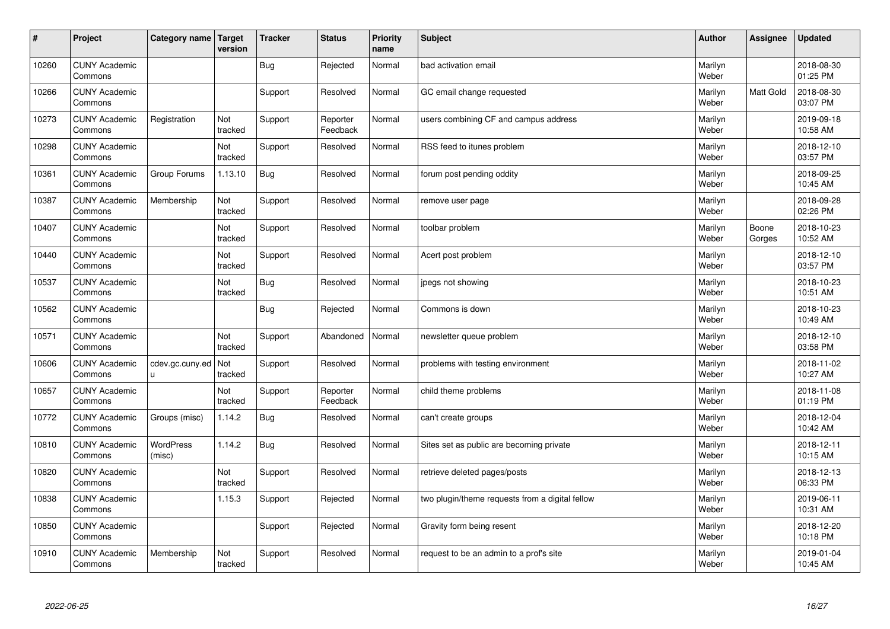| #     | Project                         | Category name         | Target<br>version | <b>Tracker</b> | <b>Status</b>        | <b>Priority</b><br>name | <b>Subject</b>                                  | <b>Author</b>    | Assignee        | <b>Updated</b>         |
|-------|---------------------------------|-----------------------|-------------------|----------------|----------------------|-------------------------|-------------------------------------------------|------------------|-----------------|------------------------|
| 10260 | <b>CUNY Academic</b><br>Commons |                       |                   | Bug            | Rejected             | Normal                  | bad activation email                            | Marilyn<br>Weber |                 | 2018-08-30<br>01:25 PM |
| 10266 | <b>CUNY Academic</b><br>Commons |                       |                   | Support        | Resolved             | Normal                  | GC email change requested                       | Marilyn<br>Weber | Matt Gold       | 2018-08-30<br>03:07 PM |
| 10273 | <b>CUNY Academic</b><br>Commons | Registration          | Not<br>tracked    | Support        | Reporter<br>Feedback | Normal                  | users combining CF and campus address           | Marilyn<br>Weber |                 | 2019-09-18<br>10:58 AM |
| 10298 | <b>CUNY Academic</b><br>Commons |                       | Not<br>tracked    | Support        | Resolved             | Normal                  | RSS feed to itunes problem                      | Marilyn<br>Weber |                 | 2018-12-10<br>03:57 PM |
| 10361 | <b>CUNY Academic</b><br>Commons | Group Forums          | 1.13.10           | <b>Bug</b>     | Resolved             | Normal                  | forum post pending oddity                       | Marilyn<br>Weber |                 | 2018-09-25<br>10:45 AM |
| 10387 | <b>CUNY Academic</b><br>Commons | Membership            | Not<br>tracked    | Support        | Resolved             | Normal                  | remove user page                                | Marilyn<br>Weber |                 | 2018-09-28<br>02:26 PM |
| 10407 | <b>CUNY Academic</b><br>Commons |                       | Not<br>tracked    | Support        | Resolved             | Normal                  | toolbar problem                                 | Marilyn<br>Weber | Boone<br>Gorges | 2018-10-23<br>10:52 AM |
| 10440 | <b>CUNY Academic</b><br>Commons |                       | Not<br>tracked    | Support        | Resolved             | Normal                  | Acert post problem                              | Marilyn<br>Weber |                 | 2018-12-10<br>03:57 PM |
| 10537 | <b>CUNY Academic</b><br>Commons |                       | Not<br>tracked    | <b>Bug</b>     | Resolved             | Normal                  | jpegs not showing                               | Marilyn<br>Weber |                 | 2018-10-23<br>10:51 AM |
| 10562 | <b>CUNY Academic</b><br>Commons |                       |                   | Bug            | Rejected             | Normal                  | Commons is down                                 | Marilyn<br>Weber |                 | 2018-10-23<br>10:49 AM |
| 10571 | <b>CUNY Academic</b><br>Commons |                       | Not<br>tracked    | Support        | Abandoned            | Normal                  | newsletter queue problem                        | Marilyn<br>Weber |                 | 2018-12-10<br>03:58 PM |
| 10606 | <b>CUNY Academic</b><br>Commons | cdev.gc.cuny.ed<br>u. | Not<br>tracked    | Support        | Resolved             | Normal                  | problems with testing environment               | Marilyn<br>Weber |                 | 2018-11-02<br>10:27 AM |
| 10657 | <b>CUNY Academic</b><br>Commons |                       | Not<br>tracked    | Support        | Reporter<br>Feedback | Normal                  | child theme problems                            | Marilyn<br>Weber |                 | 2018-11-08<br>01:19 PM |
| 10772 | <b>CUNY Academic</b><br>Commons | Groups (misc)         | 1.14.2            | Bug            | Resolved             | Normal                  | can't create groups                             | Marilyn<br>Weber |                 | 2018-12-04<br>10:42 AM |
| 10810 | <b>CUNY Academic</b><br>Commons | WordPress<br>(misc)   | 1.14.2            | <b>Bug</b>     | Resolved             | Normal                  | Sites set as public are becoming private        | Marilyn<br>Weber |                 | 2018-12-11<br>10:15 AM |
| 10820 | <b>CUNY Academic</b><br>Commons |                       | Not<br>tracked    | Support        | Resolved             | Normal                  | retrieve deleted pages/posts                    | Marilyn<br>Weber |                 | 2018-12-13<br>06:33 PM |
| 10838 | <b>CUNY Academic</b><br>Commons |                       | 1.15.3            | Support        | Rejected             | Normal                  | two plugin/theme requests from a digital fellow | Marilyn<br>Weber |                 | 2019-06-11<br>10:31 AM |
| 10850 | <b>CUNY Academic</b><br>Commons |                       |                   | Support        | Rejected             | Normal                  | Gravity form being resent                       | Marilyn<br>Weber |                 | 2018-12-20<br>10:18 PM |
| 10910 | <b>CUNY Academic</b><br>Commons | Membership            | Not<br>tracked    | Support        | Resolved             | Normal                  | request to be an admin to a prof's site         | Marilyn<br>Weber |                 | 2019-01-04<br>10:45 AM |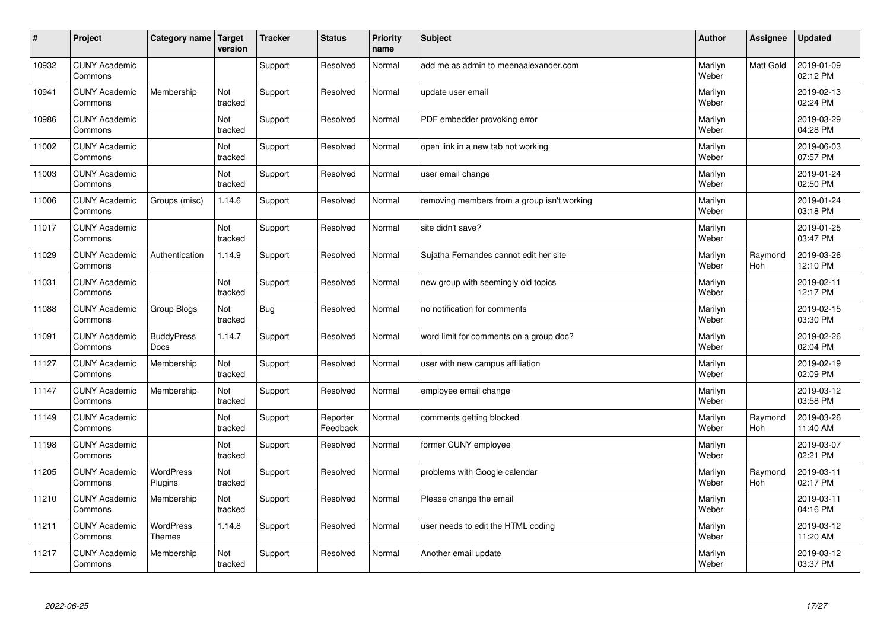| #     | Project                         | Category name                     | Target<br>version | <b>Tracker</b> | <b>Status</b>        | <b>Priority</b><br>name | <b>Subject</b>                              | <b>Author</b>    | Assignee         | <b>Updated</b>         |
|-------|---------------------------------|-----------------------------------|-------------------|----------------|----------------------|-------------------------|---------------------------------------------|------------------|------------------|------------------------|
| 10932 | <b>CUNY Academic</b><br>Commons |                                   |                   | Support        | Resolved             | Normal                  | add me as admin to meenaalexander.com       | Marilyn<br>Weber | <b>Matt Gold</b> | 2019-01-09<br>02:12 PM |
| 10941 | <b>CUNY Academic</b><br>Commons | Membership                        | Not<br>tracked    | Support        | Resolved             | Normal                  | update user email                           | Marilyn<br>Weber |                  | 2019-02-13<br>02:24 PM |
| 10986 | <b>CUNY Academic</b><br>Commons |                                   | Not<br>tracked    | Support        | Resolved             | Normal                  | PDF embedder provoking error                | Marilyn<br>Weber |                  | 2019-03-29<br>04:28 PM |
| 11002 | <b>CUNY Academic</b><br>Commons |                                   | Not<br>tracked    | Support        | Resolved             | Normal                  | open link in a new tab not working          | Marilyn<br>Weber |                  | 2019-06-03<br>07:57 PM |
| 11003 | <b>CUNY Academic</b><br>Commons |                                   | Not<br>tracked    | Support        | Resolved             | Normal                  | user email change                           | Marilyn<br>Weber |                  | 2019-01-24<br>02:50 PM |
| 11006 | <b>CUNY Academic</b><br>Commons | Groups (misc)                     | 1.14.6            | Support        | Resolved             | Normal                  | removing members from a group isn't working | Marilyn<br>Weber |                  | 2019-01-24<br>03:18 PM |
| 11017 | <b>CUNY Academic</b><br>Commons |                                   | Not<br>tracked    | Support        | Resolved             | Normal                  | site didn't save?                           | Marilyn<br>Weber |                  | 2019-01-25<br>03:47 PM |
| 11029 | <b>CUNY Academic</b><br>Commons | Authentication                    | 1.14.9            | Support        | Resolved             | Normal                  | Sujatha Fernandes cannot edit her site      | Marilyn<br>Weber | Raymond<br>Hoh   | 2019-03-26<br>12:10 PM |
| 11031 | <b>CUNY Academic</b><br>Commons |                                   | Not<br>tracked    | Support        | Resolved             | Normal                  | new group with seemingly old topics         | Marilyn<br>Weber |                  | 2019-02-11<br>12:17 PM |
| 11088 | <b>CUNY Academic</b><br>Commons | Group Blogs                       | Not<br>tracked    | <b>Bug</b>     | Resolved             | Normal                  | no notification for comments                | Marilyn<br>Weber |                  | 2019-02-15<br>03:30 PM |
| 11091 | <b>CUNY Academic</b><br>Commons | <b>BuddyPress</b><br>Docs         | 1.14.7            | Support        | Resolved             | Normal                  | word limit for comments on a group doc?     | Marilyn<br>Weber |                  | 2019-02-26<br>02:04 PM |
| 11127 | <b>CUNY Academic</b><br>Commons | Membership                        | Not<br>tracked    | Support        | Resolved             | Normal                  | user with new campus affiliation            | Marilyn<br>Weber |                  | 2019-02-19<br>02:09 PM |
| 11147 | <b>CUNY Academic</b><br>Commons | Membership                        | Not<br>tracked    | Support        | Resolved             | Normal                  | employee email change                       | Marilyn<br>Weber |                  | 2019-03-12<br>03:58 PM |
| 11149 | <b>CUNY Academic</b><br>Commons |                                   | Not<br>tracked    | Support        | Reporter<br>Feedback | Normal                  | comments getting blocked                    | Marilyn<br>Weber | Raymond<br>Hoh   | 2019-03-26<br>11:40 AM |
| 11198 | <b>CUNY Academic</b><br>Commons |                                   | Not<br>tracked    | Support        | Resolved             | Normal                  | former CUNY employee                        | Marilyn<br>Weber |                  | 2019-03-07<br>02:21 PM |
| 11205 | <b>CUNY Academic</b><br>Commons | <b>WordPress</b><br>Plugins       | Not<br>tracked    | Support        | Resolved             | Normal                  | problems with Google calendar               | Marilyn<br>Weber | Raymond<br>Hoh   | 2019-03-11<br>02:17 PM |
| 11210 | <b>CUNY Academic</b><br>Commons | Membership                        | Not<br>tracked    | Support        | Resolved             | Normal                  | Please change the email                     | Marilyn<br>Weber |                  | 2019-03-11<br>04:16 PM |
| 11211 | <b>CUNY Academic</b><br>Commons | <b>WordPress</b><br><b>Themes</b> | 1.14.8            | Support        | Resolved             | Normal                  | user needs to edit the HTML coding          | Marilyn<br>Weber |                  | 2019-03-12<br>11:20 AM |
| 11217 | <b>CUNY Academic</b><br>Commons | Membership                        | Not<br>tracked    | Support        | Resolved             | Normal                  | Another email update                        | Marilyn<br>Weber |                  | 2019-03-12<br>03:37 PM |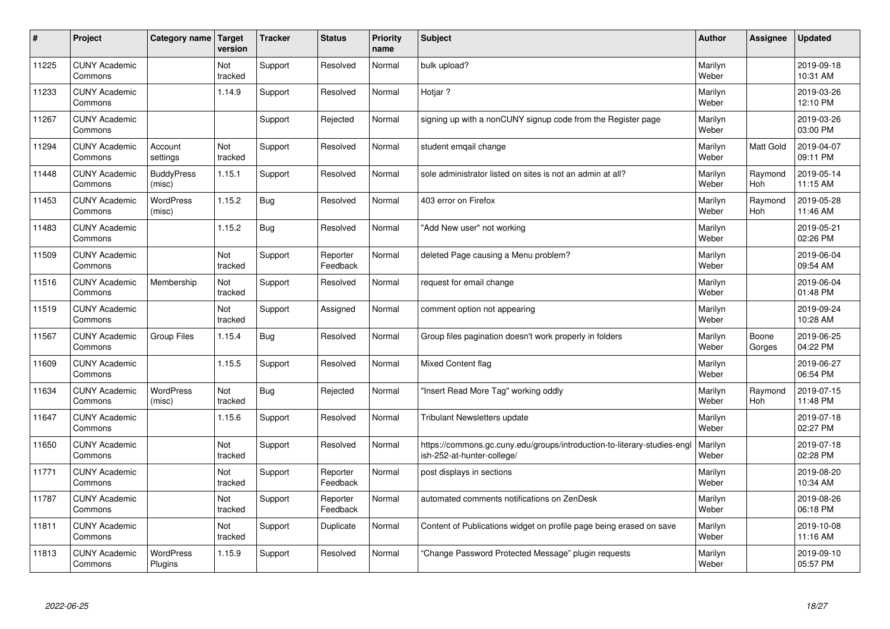| $\vert$ # | Project                         | Category name               | Target<br>version | <b>Tracker</b> | <b>Status</b>        | <b>Priority</b><br>name | <b>Subject</b>                                                                                         | <b>Author</b>    | Assignee        | <b>Updated</b>         |
|-----------|---------------------------------|-----------------------------|-------------------|----------------|----------------------|-------------------------|--------------------------------------------------------------------------------------------------------|------------------|-----------------|------------------------|
| 11225     | <b>CUNY Academic</b><br>Commons |                             | Not<br>tracked    | Support        | Resolved             | Normal                  | bulk upload?                                                                                           | Marilyn<br>Weber |                 | 2019-09-18<br>10:31 AM |
| 11233     | <b>CUNY Academic</b><br>Commons |                             | 1.14.9            | Support        | Resolved             | Normal                  | Hotiar?                                                                                                | Marilyn<br>Weber |                 | 2019-03-26<br>12:10 PM |
| 11267     | <b>CUNY Academic</b><br>Commons |                             |                   | Support        | Rejected             | Normal                  | signing up with a nonCUNY signup code from the Register page                                           | Marilyn<br>Weber |                 | 2019-03-26<br>03:00 PM |
| 11294     | <b>CUNY Academic</b><br>Commons | Account<br>settings         | Not<br>tracked    | Support        | Resolved             | Normal                  | student emqail change                                                                                  | Marilyn<br>Weber | Matt Gold       | 2019-04-07<br>09:11 PM |
| 11448     | <b>CUNY Academic</b><br>Commons | <b>BuddyPress</b><br>(misc) | 1.15.1            | Support        | Resolved             | Normal                  | sole administrator listed on sites is not an admin at all?                                             | Marilyn<br>Weber | Raymond<br>Hoh  | 2019-05-14<br>11:15 AM |
| 11453     | <b>CUNY Academic</b><br>Commons | WordPress<br>(misc)         | 1.15.2            | Bug            | Resolved             | Normal                  | 403 error on Firefox                                                                                   | Marilyn<br>Weber | Raymond<br>Hoh  | 2019-05-28<br>11:46 AM |
| 11483     | <b>CUNY Academic</b><br>Commons |                             | 1.15.2            | Bug            | Resolved             | Normal                  | 'Add New user" not working                                                                             | Marilyn<br>Weber |                 | 2019-05-21<br>02:26 PM |
| 11509     | <b>CUNY Academic</b><br>Commons |                             | Not<br>tracked    | Support        | Reporter<br>Feedback | Normal                  | deleted Page causing a Menu problem?                                                                   | Marilyn<br>Weber |                 | 2019-06-04<br>09:54 AM |
| 11516     | <b>CUNY Academic</b><br>Commons | Membership                  | Not<br>tracked    | Support        | Resolved             | Normal                  | request for email change                                                                               | Marilyn<br>Weber |                 | 2019-06-04<br>01:48 PM |
| 11519     | <b>CUNY Academic</b><br>Commons |                             | Not<br>tracked    | Support        | Assigned             | Normal                  | comment option not appearing                                                                           | Marilyn<br>Weber |                 | 2019-09-24<br>10:28 AM |
| 11567     | <b>CUNY Academic</b><br>Commons | <b>Group Files</b>          | 1.15.4            | <b>Bug</b>     | Resolved             | Normal                  | Group files pagination doesn't work properly in folders                                                | Marilyn<br>Weber | Boone<br>Gorges | 2019-06-25<br>04:22 PM |
| 11609     | <b>CUNY Academic</b><br>Commons |                             | 1.15.5            | Support        | Resolved             | Normal                  | <b>Mixed Content flag</b>                                                                              | Marilyn<br>Weber |                 | 2019-06-27<br>06:54 PM |
| 11634     | <b>CUNY Academic</b><br>Commons | <b>WordPress</b><br>(misc)  | Not<br>tracked    | Bug            | Rejected             | Normal                  | 'Insert Read More Tag" working oddly                                                                   | Marilyn<br>Weber | Raymond<br>Hoh  | 2019-07-15<br>11:48 PM |
| 11647     | <b>CUNY Academic</b><br>Commons |                             | 1.15.6            | Support        | Resolved             | Normal                  | <b>Tribulant Newsletters update</b>                                                                    | Marilyn<br>Weber |                 | 2019-07-18<br>02:27 PM |
| 11650     | <b>CUNY Academic</b><br>Commons |                             | Not<br>tracked    | Support        | Resolved             | Normal                  | https://commons.gc.cuny.edu/groups/introduction-to-literary-studies-engl<br>ish-252-at-hunter-college/ | Marilyn<br>Weber |                 | 2019-07-18<br>02:28 PM |
| 11771     | <b>CUNY Academic</b><br>Commons |                             | Not<br>tracked    | Support        | Reporter<br>Feedback | Normal                  | post displays in sections                                                                              | Marilyn<br>Weber |                 | 2019-08-20<br>10:34 AM |
| 11787     | <b>CUNY Academic</b><br>Commons |                             | Not<br>tracked    | Support        | Reporter<br>Feedback | Normal                  | automated comments notifications on ZenDesk                                                            | Marilyn<br>Weber |                 | 2019-08-26<br>06:18 PM |
| 11811     | <b>CUNY Academic</b><br>Commons |                             | Not<br>tracked    | Support        | Duplicate            | Normal                  | Content of Publications widget on profile page being erased on save                                    | Marilyn<br>Weber |                 | 2019-10-08<br>11:16 AM |
| 11813     | <b>CUNY Academic</b><br>Commons | <b>WordPress</b><br>Plugins | 1.15.9            | Support        | Resolved             | Normal                  | 'Change Password Protected Message" plugin requests                                                    | Marilyn<br>Weber |                 | 2019-09-10<br>05:57 PM |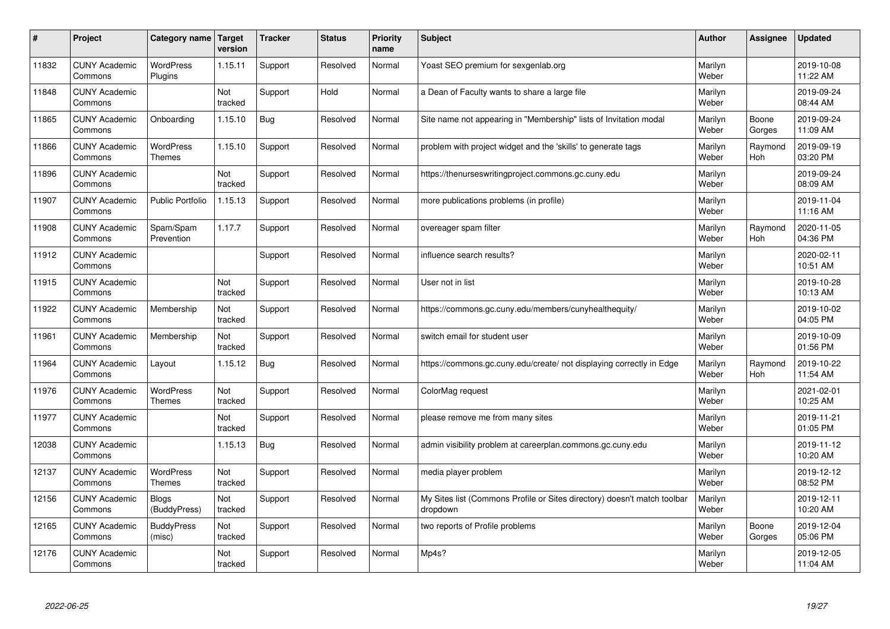| #     | Project                         | Category name   Target            | version        | <b>Tracker</b> | <b>Status</b> | <b>Priority</b><br>name | <b>Subject</b>                                                                       | <b>Author</b>    | Assignee        | <b>Updated</b>         |
|-------|---------------------------------|-----------------------------------|----------------|----------------|---------------|-------------------------|--------------------------------------------------------------------------------------|------------------|-----------------|------------------------|
| 11832 | <b>CUNY Academic</b><br>Commons | <b>WordPress</b><br>Plugins       | 1.15.11        | Support        | Resolved      | Normal                  | Yoast SEO premium for sexgenlab.org                                                  | Marilyn<br>Weber |                 | 2019-10-08<br>11:22 AM |
| 11848 | <b>CUNY Academic</b><br>Commons |                                   | Not<br>tracked | Support        | Hold          | Normal                  | a Dean of Faculty wants to share a large file                                        | Marilyn<br>Weber |                 | 2019-09-24<br>08:44 AM |
| 11865 | <b>CUNY Academic</b><br>Commons | Onboarding                        | 1.15.10        | <b>Bug</b>     | Resolved      | Normal                  | Site name not appearing in "Membership" lists of Invitation modal                    | Marilyn<br>Weber | Boone<br>Gorges | 2019-09-24<br>11:09 AM |
| 11866 | <b>CUNY Academic</b><br>Commons | <b>WordPress</b><br>Themes        | 1.15.10        | Support        | Resolved      | Normal                  | problem with project widget and the 'skills' to generate tags                        | Marilyn<br>Weber | Raymond<br>Hoh  | 2019-09-19<br>03:20 PM |
| 11896 | <b>CUNY Academic</b><br>Commons |                                   | Not<br>tracked | Support        | Resolved      | Normal                  | https://thenurseswritingproject.commons.gc.cuny.edu                                  | Marilyn<br>Weber |                 | 2019-09-24<br>08:09 AM |
| 11907 | <b>CUNY Academic</b><br>Commons | <b>Public Portfolio</b>           | 1.15.13        | Support        | Resolved      | Normal                  | more publications problems (in profile)                                              | Marilyn<br>Weber |                 | 2019-11-04<br>11:16 AM |
| 11908 | <b>CUNY Academic</b><br>Commons | Spam/Spam<br>Prevention           | 1.17.7         | Support        | Resolved      | Normal                  | overeager spam filter                                                                | Marilyn<br>Weber | Raymond<br>Hoh  | 2020-11-05<br>04:36 PM |
| 11912 | <b>CUNY Academic</b><br>Commons |                                   |                | Support        | Resolved      | Normal                  | influence search results?                                                            | Marilyn<br>Weber |                 | 2020-02-11<br>10:51 AM |
| 11915 | <b>CUNY Academic</b><br>Commons |                                   | Not<br>tracked | Support        | Resolved      | Normal                  | User not in list                                                                     | Marilyn<br>Weber |                 | 2019-10-28<br>10:13 AM |
| 11922 | <b>CUNY Academic</b><br>Commons | Membership                        | Not<br>tracked | Support        | Resolved      | Normal                  | https://commons.gc.cuny.edu/members/cunyhealthequity/                                | Marilyn<br>Weber |                 | 2019-10-02<br>04:05 PM |
| 11961 | <b>CUNY Academic</b><br>Commons | Membership                        | Not<br>tracked | Support        | Resolved      | Normal                  | switch email for student user                                                        | Marilyn<br>Weber |                 | 2019-10-09<br>01:56 PM |
| 11964 | <b>CUNY Academic</b><br>Commons | Layout                            | 1.15.12        | <b>Bug</b>     | Resolved      | Normal                  | https://commons.gc.cuny.edu/create/ not displaying correctly in Edge                 | Marilyn<br>Weber | Raymond<br>Hoh  | 2019-10-22<br>11:54 AM |
| 11976 | <b>CUNY Academic</b><br>Commons | <b>WordPress</b><br><b>Themes</b> | Not<br>tracked | Support        | Resolved      | Normal                  | ColorMag request                                                                     | Marilyn<br>Weber |                 | 2021-02-01<br>10:25 AM |
| 11977 | <b>CUNY Academic</b><br>Commons |                                   | Not<br>tracked | Support        | Resolved      | Normal                  | please remove me from many sites                                                     | Marilyn<br>Weber |                 | 2019-11-21<br>01:05 PM |
| 12038 | <b>CUNY Academic</b><br>Commons |                                   | 1.15.13        | <b>Bug</b>     | Resolved      | Normal                  | admin visibility problem at careerplan.commons.gc.cuny.edu                           | Marilyn<br>Weber |                 | 2019-11-12<br>10:20 AM |
| 12137 | <b>CUNY Academic</b><br>Commons | <b>WordPress</b><br><b>Themes</b> | Not<br>tracked | Support        | Resolved      | Normal                  | media player problem                                                                 | Marilyn<br>Weber |                 | 2019-12-12<br>08:52 PM |
| 12156 | <b>CUNY Academic</b><br>Commons | <b>Blogs</b><br>(BuddyPress)      | Not<br>tracked | Support        | Resolved      | Normal                  | My Sites list (Commons Profile or Sites directory) doesn't match toolbar<br>dropdown | Marilyn<br>Weber |                 | 2019-12-11<br>10:20 AM |
| 12165 | <b>CUNY Academic</b><br>Commons | <b>BuddyPress</b><br>(misc)       | Not<br>tracked | Support        | Resolved      | Normal                  | two reports of Profile problems                                                      | Marilyn<br>Weber | Boone<br>Gorges | 2019-12-04<br>05:06 PM |
| 12176 | <b>CUNY Academic</b><br>Commons |                                   | Not<br>tracked | Support        | Resolved      | Normal                  | Mp4s?                                                                                | Marilyn<br>Weber |                 | 2019-12-05<br>11:04 AM |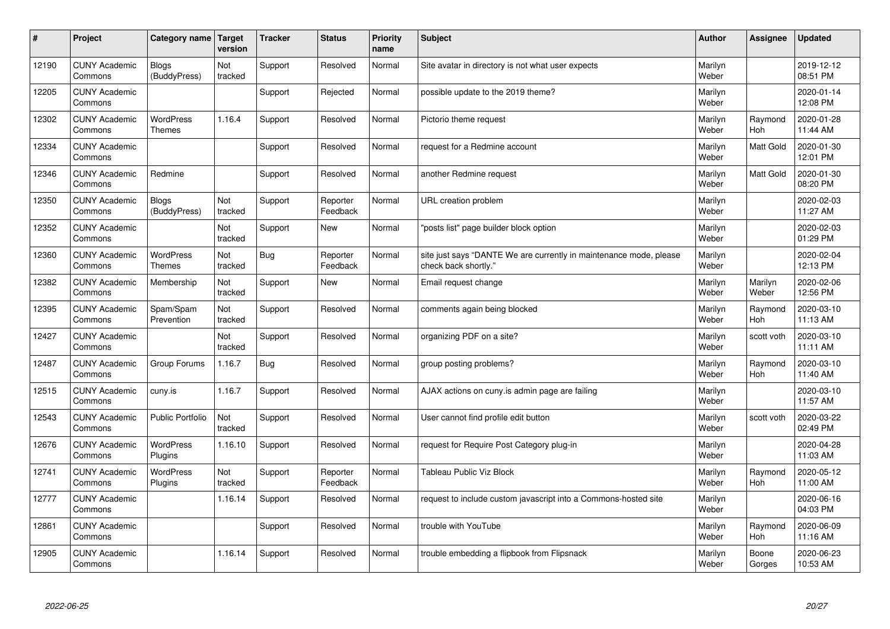| #     | Project                         | Category name   Target            | version        | <b>Tracker</b> | <b>Status</b>        | <b>Priority</b><br>name | <b>Subject</b>                                                                             | <b>Author</b>    | Assignee              | <b>Updated</b>         |
|-------|---------------------------------|-----------------------------------|----------------|----------------|----------------------|-------------------------|--------------------------------------------------------------------------------------------|------------------|-----------------------|------------------------|
| 12190 | <b>CUNY Academic</b><br>Commons | <b>Blogs</b><br>(BuddyPress)      | Not<br>tracked | Support        | Resolved             | Normal                  | Site avatar in directory is not what user expects                                          | Marilyn<br>Weber |                       | 2019-12-12<br>08:51 PM |
| 12205 | <b>CUNY Academic</b><br>Commons |                                   |                | Support        | Rejected             | Normal                  | possible update to the 2019 theme?                                                         | Marilyn<br>Weber |                       | 2020-01-14<br>12:08 PM |
| 12302 | <b>CUNY Academic</b><br>Commons | <b>WordPress</b><br><b>Themes</b> | 1.16.4         | Support        | Resolved             | Normal                  | Pictorio theme request                                                                     | Marilyn<br>Weber | Raymond<br>Hoh        | 2020-01-28<br>11:44 AM |
| 12334 | <b>CUNY Academic</b><br>Commons |                                   |                | Support        | Resolved             | Normal                  | request for a Redmine account                                                              | Marilyn<br>Weber | Matt Gold             | 2020-01-30<br>12:01 PM |
| 12346 | <b>CUNY Academic</b><br>Commons | Redmine                           |                | Support        | Resolved             | Normal                  | another Redmine request                                                                    | Marilyn<br>Weber | <b>Matt Gold</b>      | 2020-01-30<br>08:20 PM |
| 12350 | <b>CUNY Academic</b><br>Commons | <b>Blogs</b><br>(BuddyPress)      | Not<br>tracked | Support        | Reporter<br>Feedback | Normal                  | URL creation problem                                                                       | Marilyn<br>Weber |                       | 2020-02-03<br>11:27 AM |
| 12352 | <b>CUNY Academic</b><br>Commons |                                   | Not<br>tracked | Support        | <b>New</b>           | Normal                  | 'posts list" page builder block option                                                     | Marilyn<br>Weber |                       | 2020-02-03<br>01:29 PM |
| 12360 | <b>CUNY Academic</b><br>Commons | WordPress<br><b>Themes</b>        | Not<br>tracked | <b>Bug</b>     | Reporter<br>Feedback | Normal                  | site just says "DANTE We are currently in maintenance mode, please<br>check back shortly." | Marilyn<br>Weber |                       | 2020-02-04<br>12:13 PM |
| 12382 | <b>CUNY Academic</b><br>Commons | Membership                        | Not<br>tracked | Support        | New                  | Normal                  | Email request change                                                                       | Marilyn<br>Weber | Marilyn<br>Weber      | 2020-02-06<br>12:56 PM |
| 12395 | <b>CUNY Academic</b><br>Commons | Spam/Spam<br>Prevention           | Not<br>tracked | Support        | Resolved             | Normal                  | comments again being blocked                                                               | Marilyn<br>Weber | Raymond<br><b>Hoh</b> | 2020-03-10<br>11:13 AM |
| 12427 | <b>CUNY Academic</b><br>Commons |                                   | Not<br>tracked | Support        | Resolved             | Normal                  | organizing PDF on a site?                                                                  | Marilyn<br>Weber | scott voth            | 2020-03-10<br>11:11 AM |
| 12487 | <b>CUNY Academic</b><br>Commons | Group Forums                      | 1.16.7         | <b>Bug</b>     | Resolved             | Normal                  | group posting problems?                                                                    | Marilyn<br>Weber | Raymond<br>Hoh        | 2020-03-10<br>11:40 AM |
| 12515 | <b>CUNY Academic</b><br>Commons | cuny.is                           | 1.16.7         | Support        | Resolved             | Normal                  | AJAX actions on cuny is admin page are failing                                             | Marilyn<br>Weber |                       | 2020-03-10<br>11:57 AM |
| 12543 | <b>CUNY Academic</b><br>Commons | <b>Public Portfolio</b>           | Not<br>tracked | Support        | Resolved             | Normal                  | User cannot find profile edit button                                                       | Marilyn<br>Weber | scott voth            | 2020-03-22<br>02:49 PM |
| 12676 | <b>CUNY Academic</b><br>Commons | WordPress<br>Plugins              | 1.16.10        | Support        | Resolved             | Normal                  | request for Require Post Category plug-in                                                  | Marilyn<br>Weber |                       | 2020-04-28<br>11:03 AM |
| 12741 | <b>CUNY Academic</b><br>Commons | <b>WordPress</b><br>Plugins       | Not<br>tracked | Support        | Reporter<br>Feedback | Normal                  | Tableau Public Viz Block                                                                   | Marilyn<br>Weber | Raymond<br>Hoh        | 2020-05-12<br>11:00 AM |
| 12777 | <b>CUNY Academic</b><br>Commons |                                   | 1.16.14        | Support        | Resolved             | Normal                  | request to include custom javascript into a Commons-hosted site                            | Marilyn<br>Weber |                       | 2020-06-16<br>04:03 PM |
| 12861 | <b>CUNY Academic</b><br>Commons |                                   |                | Support        | Resolved             | Normal                  | trouble with YouTube                                                                       | Marilyn<br>Weber | Raymond<br>Hoh        | 2020-06-09<br>11:16 AM |
| 12905 | <b>CUNY Academic</b><br>Commons |                                   | 1.16.14        | Support        | Resolved             | Normal                  | trouble embedding a flipbook from Flipsnack                                                | Marilyn<br>Weber | Boone<br>Gorges       | 2020-06-23<br>10:53 AM |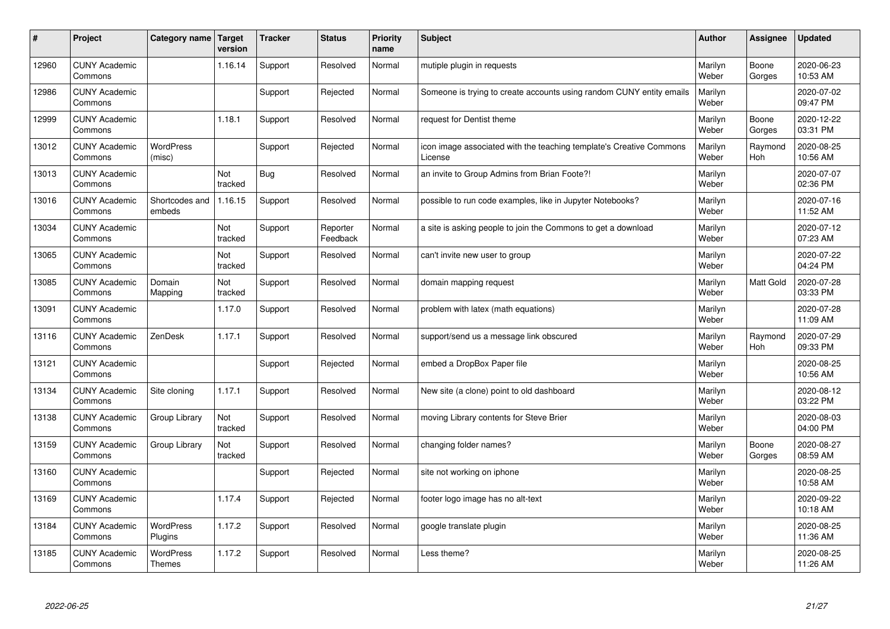| #     | Project                         | Category name   Target      | version        | <b>Tracker</b> | <b>Status</b>        | <b>Priority</b><br>name | <b>Subject</b>                                                                 | <b>Author</b>    | Assignee              | <b>Updated</b>         |
|-------|---------------------------------|-----------------------------|----------------|----------------|----------------------|-------------------------|--------------------------------------------------------------------------------|------------------|-----------------------|------------------------|
| 12960 | <b>CUNY Academic</b><br>Commons |                             | 1.16.14        | Support        | Resolved             | Normal                  | mutiple plugin in requests                                                     | Marilyn<br>Weber | Boone<br>Gorges       | 2020-06-23<br>10:53 AM |
| 12986 | <b>CUNY Academic</b><br>Commons |                             |                | Support        | Rejected             | Normal                  | Someone is trying to create accounts using random CUNY entity emails           | Marilyn<br>Weber |                       | 2020-07-02<br>09:47 PM |
| 12999 | <b>CUNY Academic</b><br>Commons |                             | 1.18.1         | Support        | Resolved             | Normal                  | request for Dentist theme                                                      | Marilyn<br>Weber | Boone<br>Gorges       | 2020-12-22<br>03:31 PM |
| 13012 | <b>CUNY Academic</b><br>Commons | <b>WordPress</b><br>(misc)  |                | Support        | Rejected             | Normal                  | icon image associated with the teaching template's Creative Commons<br>License | Marilyn<br>Weber | Raymond<br>Hoh        | 2020-08-25<br>10:56 AM |
| 13013 | <b>CUNY Academic</b><br>Commons |                             | Not<br>tracked | <b>Bug</b>     | Resolved             | Normal                  | an invite to Group Admins from Brian Foote?!                                   | Marilyn<br>Weber |                       | 2020-07-07<br>02:36 PM |
| 13016 | <b>CUNY Academic</b><br>Commons | Shortcodes and<br>embeds    | 1.16.15        | Support        | Resolved             | Normal                  | possible to run code examples, like in Jupyter Notebooks?                      | Marilyn<br>Weber |                       | 2020-07-16<br>11:52 AM |
| 13034 | <b>CUNY Academic</b><br>Commons |                             | Not<br>tracked | Support        | Reporter<br>Feedback | Normal                  | a site is asking people to join the Commons to get a download                  | Marilyn<br>Weber |                       | 2020-07-12<br>07:23 AM |
| 13065 | <b>CUNY Academic</b><br>Commons |                             | Not<br>tracked | Support        | Resolved             | Normal                  | can't invite new user to group                                                 | Marilyn<br>Weber |                       | 2020-07-22<br>04:24 PM |
| 13085 | <b>CUNY Academic</b><br>Commons | Domain<br>Mapping           | Not<br>tracked | Support        | Resolved             | Normal                  | domain mapping request                                                         | Marilyn<br>Weber | <b>Matt Gold</b>      | 2020-07-28<br>03:33 PM |
| 13091 | <b>CUNY Academic</b><br>Commons |                             | 1.17.0         | Support        | Resolved             | Normal                  | problem with latex (math equations)                                            | Marilyn<br>Weber |                       | 2020-07-28<br>11:09 AM |
| 13116 | <b>CUNY Academic</b><br>Commons | ZenDesk                     | 1.17.1         | Support        | Resolved             | Normal                  | support/send us a message link obscured                                        | Marilyn<br>Weber | Raymond<br><b>Hoh</b> | 2020-07-29<br>09:33 PM |
| 13121 | <b>CUNY Academic</b><br>Commons |                             |                | Support        | Rejected             | Normal                  | embed a DropBox Paper file                                                     | Marilyn<br>Weber |                       | 2020-08-25<br>10:56 AM |
| 13134 | <b>CUNY Academic</b><br>Commons | Site cloning                | 1.17.1         | Support        | Resolved             | Normal                  | New site (a clone) point to old dashboard                                      | Marilyn<br>Weber |                       | 2020-08-12<br>03:22 PM |
| 13138 | <b>CUNY Academic</b><br>Commons | Group Library               | Not<br>tracked | Support        | Resolved             | Normal                  | moving Library contents for Steve Brier                                        | Marilyn<br>Weber |                       | 2020-08-03<br>04:00 PM |
| 13159 | <b>CUNY Academic</b><br>Commons | Group Library               | Not<br>tracked | Support        | Resolved             | Normal                  | changing folder names?                                                         | Marilyn<br>Weber | Boone<br>Gorges       | 2020-08-27<br>08:59 AM |
| 13160 | <b>CUNY Academic</b><br>Commons |                             |                | Support        | Rejected             | Normal                  | site not working on iphone                                                     | Marilyn<br>Weber |                       | 2020-08-25<br>10:58 AM |
| 13169 | <b>CUNY Academic</b><br>Commons |                             | 1.17.4         | Support        | Rejected             | Normal                  | footer logo image has no alt-text                                              | Marilyn<br>Weber |                       | 2020-09-22<br>10:18 AM |
| 13184 | <b>CUNY Academic</b><br>Commons | <b>WordPress</b><br>Plugins | 1.17.2         | Support        | Resolved             | Normal                  | google translate plugin                                                        | Marilyn<br>Weber |                       | 2020-08-25<br>11:36 AM |
| 13185 | <b>CUNY Academic</b><br>Commons | WordPress<br><b>Themes</b>  | 1.17.2         | Support        | Resolved             | Normal                  | Less theme?                                                                    | Marilyn<br>Weber |                       | 2020-08-25<br>11:26 AM |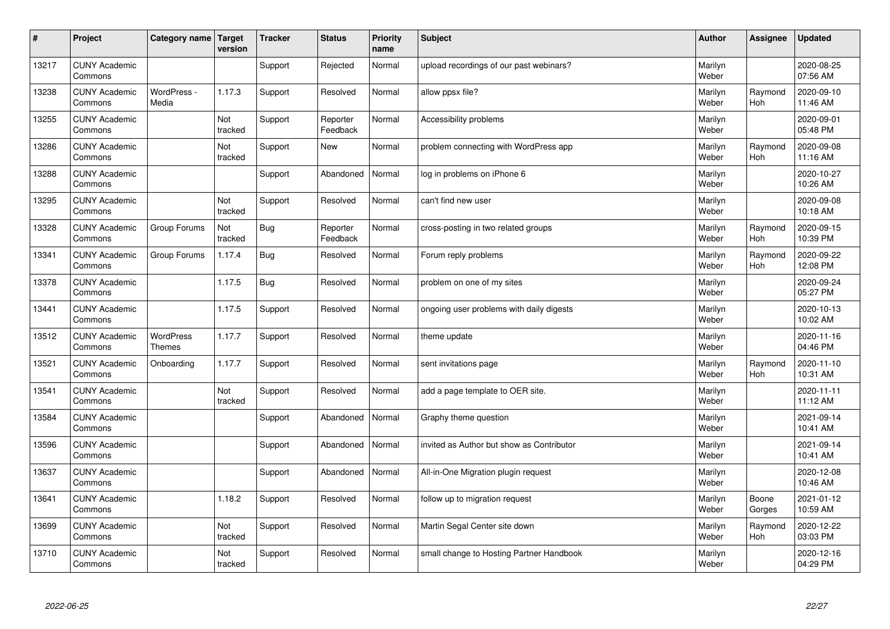| #     | Project                         | Category name   Target            | version        | <b>Tracker</b> | <b>Status</b>        | <b>Priority</b><br>name | <b>Subject</b>                            | <b>Author</b>    | Assignee              | <b>Updated</b>         |
|-------|---------------------------------|-----------------------------------|----------------|----------------|----------------------|-------------------------|-------------------------------------------|------------------|-----------------------|------------------------|
| 13217 | <b>CUNY Academic</b><br>Commons |                                   |                | Support        | Rejected             | Normal                  | upload recordings of our past webinars?   | Marilyn<br>Weber |                       | 2020-08-25<br>07:56 AM |
| 13238 | <b>CUNY Academic</b><br>Commons | WordPress -<br>Media              | 1.17.3         | Support        | Resolved             | Normal                  | allow ppsx file?                          | Marilyn<br>Weber | Raymond<br>Hoh        | 2020-09-10<br>11:46 AM |
| 13255 | <b>CUNY Academic</b><br>Commons |                                   | Not<br>tracked | Support        | Reporter<br>Feedback | Normal                  | Accessibility problems                    | Marilyn<br>Weber |                       | 2020-09-01<br>05:48 PM |
| 13286 | <b>CUNY Academic</b><br>Commons |                                   | Not<br>tracked | Support        | <b>New</b>           | Normal                  | problem connecting with WordPress app     | Marilyn<br>Weber | Raymond<br>Hoh        | 2020-09-08<br>11:16 AM |
| 13288 | <b>CUNY Academic</b><br>Commons |                                   |                | Support        | Abandoned            | Normal                  | log in problems on iPhone 6               | Marilyn<br>Weber |                       | 2020-10-27<br>10:26 AM |
| 13295 | <b>CUNY Academic</b><br>Commons |                                   | Not<br>tracked | Support        | Resolved             | Normal                  | can't find new user                       | Marilyn<br>Weber |                       | 2020-09-08<br>10:18 AM |
| 13328 | <b>CUNY Academic</b><br>Commons | Group Forums                      | Not<br>tracked | <b>Bug</b>     | Reporter<br>Feedback | Normal                  | cross-posting in two related groups       | Marilyn<br>Weber | Raymond<br>Hoh        | 2020-09-15<br>10:39 PM |
| 13341 | <b>CUNY Academic</b><br>Commons | Group Forums                      | 1.17.4         | Bug            | Resolved             | Normal                  | Forum reply problems                      | Marilyn<br>Weber | Raymond<br>Hoh        | 2020-09-22<br>12:08 PM |
| 13378 | <b>CUNY Academic</b><br>Commons |                                   | 1.17.5         | Bug            | Resolved             | Normal                  | problem on one of my sites                | Marilyn<br>Weber |                       | 2020-09-24<br>05:27 PM |
| 13441 | <b>CUNY Academic</b><br>Commons |                                   | 1.17.5         | Support        | Resolved             | Normal                  | ongoing user problems with daily digests  | Marilyn<br>Weber |                       | 2020-10-13<br>10:02 AM |
| 13512 | <b>CUNY Academic</b><br>Commons | <b>WordPress</b><br><b>Themes</b> | 1.17.7         | Support        | Resolved             | Normal                  | theme update                              | Marilyn<br>Weber |                       | 2020-11-16<br>04:46 PM |
| 13521 | <b>CUNY Academic</b><br>Commons | Onboarding                        | 1.17.7         | Support        | Resolved             | Normal                  | sent invitations page                     | Marilyn<br>Weber | Raymond<br><b>Hoh</b> | 2020-11-10<br>10:31 AM |
| 13541 | <b>CUNY Academic</b><br>Commons |                                   | Not<br>tracked | Support        | Resolved             | Normal                  | add a page template to OER site.          | Marilyn<br>Weber |                       | 2020-11-11<br>11:12 AM |
| 13584 | <b>CUNY Academic</b><br>Commons |                                   |                | Support        | Abandoned            | Normal                  | Graphy theme question                     | Marilyn<br>Weber |                       | 2021-09-14<br>10:41 AM |
| 13596 | <b>CUNY Academic</b><br>Commons |                                   |                | Support        | Abandoned            | Normal                  | invited as Author but show as Contributor | Marilyn<br>Weber |                       | 2021-09-14<br>10:41 AM |
| 13637 | <b>CUNY Academic</b><br>Commons |                                   |                | Support        | Abandoned            | Normal                  | All-in-One Migration plugin request       | Marilyn<br>Weber |                       | 2020-12-08<br>10:46 AM |
| 13641 | <b>CUNY Academic</b><br>Commons |                                   | 1.18.2         | Support        | Resolved             | Normal                  | follow up to migration request            | Marilyn<br>Weber | Boone<br>Gorges       | 2021-01-12<br>10:59 AM |
| 13699 | <b>CUNY Academic</b><br>Commons |                                   | Not<br>tracked | Support        | Resolved             | Normal                  | Martin Segal Center site down             | Marilyn<br>Weber | Raymond<br>Hoh        | 2020-12-22<br>03:03 PM |
| 13710 | <b>CUNY Academic</b><br>Commons |                                   | Not<br>tracked | Support        | Resolved             | Normal                  | small change to Hosting Partner Handbook  | Marilyn<br>Weber |                       | 2020-12-16<br>04:29 PM |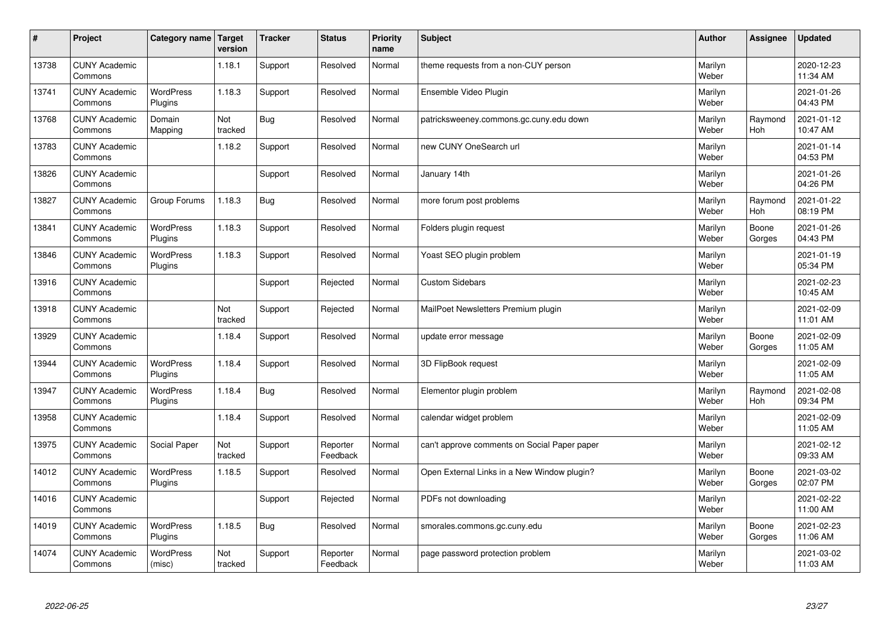| #     | Project                         | Category name               | Target<br>version | <b>Tracker</b> | <b>Status</b>        | <b>Priority</b><br>name | <b>Subject</b>                               | <b>Author</b>    | Assignee              | <b>Updated</b>         |
|-------|---------------------------------|-----------------------------|-------------------|----------------|----------------------|-------------------------|----------------------------------------------|------------------|-----------------------|------------------------|
| 13738 | <b>CUNY Academic</b><br>Commons |                             | 1.18.1            | Support        | Resolved             | Normal                  | theme requests from a non-CUY person         | Marilyn<br>Weber |                       | 2020-12-23<br>11:34 AM |
| 13741 | <b>CUNY Academic</b><br>Commons | <b>WordPress</b><br>Plugins | 1.18.3            | Support        | Resolved             | Normal                  | Ensemble Video Plugin                        | Marilyn<br>Weber |                       | 2021-01-26<br>04:43 PM |
| 13768 | <b>CUNY Academic</b><br>Commons | Domain<br>Mapping           | Not<br>tracked    | <b>Bug</b>     | Resolved             | Normal                  | patricksweeney.commons.gc.cuny.edu down      | Marilyn<br>Weber | Raymond<br><b>Hoh</b> | 2021-01-12<br>10:47 AM |
| 13783 | <b>CUNY Academic</b><br>Commons |                             | 1.18.2            | Support        | Resolved             | Normal                  | new CUNY OneSearch url                       | Marilyn<br>Weber |                       | 2021-01-14<br>04:53 PM |
| 13826 | <b>CUNY Academic</b><br>Commons |                             |                   | Support        | Resolved             | Normal                  | January 14th                                 | Marilyn<br>Weber |                       | 2021-01-26<br>04:26 PM |
| 13827 | <b>CUNY Academic</b><br>Commons | Group Forums                | 1.18.3            | Bug            | Resolved             | Normal                  | more forum post problems                     | Marilyn<br>Weber | Raymond<br>Hoh        | 2021-01-22<br>08:19 PM |
| 13841 | <b>CUNY Academic</b><br>Commons | <b>WordPress</b><br>Plugins | 1.18.3            | Support        | Resolved             | Normal                  | Folders plugin request                       | Marilyn<br>Weber | Boone<br>Gorges       | 2021-01-26<br>04:43 PM |
| 13846 | <b>CUNY Academic</b><br>Commons | <b>WordPress</b><br>Plugins | 1.18.3            | Support        | Resolved             | Normal                  | Yoast SEO plugin problem                     | Marilyn<br>Weber |                       | 2021-01-19<br>05:34 PM |
| 13916 | <b>CUNY Academic</b><br>Commons |                             |                   | Support        | Rejected             | Normal                  | <b>Custom Sidebars</b>                       | Marilyn<br>Weber |                       | 2021-02-23<br>10:45 AM |
| 13918 | <b>CUNY Academic</b><br>Commons |                             | Not<br>tracked    | Support        | Rejected             | Normal                  | MailPoet Newsletters Premium plugin          | Marilyn<br>Weber |                       | 2021-02-09<br>11:01 AM |
| 13929 | <b>CUNY Academic</b><br>Commons |                             | 1.18.4            | Support        | Resolved             | Normal                  | update error message                         | Marilyn<br>Weber | Boone<br>Gorges       | 2021-02-09<br>11:05 AM |
| 13944 | <b>CUNY Academic</b><br>Commons | <b>WordPress</b><br>Plugins | 1.18.4            | Support        | Resolved             | Normal                  | 3D FlipBook request                          | Marilyn<br>Weber |                       | 2021-02-09<br>11:05 AM |
| 13947 | <b>CUNY Academic</b><br>Commons | <b>WordPress</b><br>Plugins | 1.18.4            | Bug            | Resolved             | Normal                  | Elementor plugin problem                     | Marilyn<br>Weber | Raymond<br>Hoh        | 2021-02-08<br>09:34 PM |
| 13958 | <b>CUNY Academic</b><br>Commons |                             | 1.18.4            | Support        | Resolved             | Normal                  | calendar widget problem                      | Marilyn<br>Weber |                       | 2021-02-09<br>11:05 AM |
| 13975 | <b>CUNY Academic</b><br>Commons | Social Paper                | Not<br>tracked    | Support        | Reporter<br>Feedback | Normal                  | can't approve comments on Social Paper paper | Marilyn<br>Weber |                       | 2021-02-12<br>09:33 AM |
| 14012 | <b>CUNY Academic</b><br>Commons | <b>WordPress</b><br>Plugins | 1.18.5            | Support        | Resolved             | Normal                  | Open External Links in a New Window plugin?  | Marilyn<br>Weber | Boone<br>Gorges       | 2021-03-02<br>02:07 PM |
| 14016 | <b>CUNY Academic</b><br>Commons |                             |                   | Support        | Rejected             | Normal                  | PDFs not downloading                         | Marilyn<br>Weber |                       | 2021-02-22<br>11:00 AM |
| 14019 | <b>CUNY Academic</b><br>Commons | <b>WordPress</b><br>Plugins | 1.18.5            | <b>Bug</b>     | Resolved             | Normal                  | smorales.commons.gc.cuny.edu                 | Marilyn<br>Weber | Boone<br>Gorges       | 2021-02-23<br>11:06 AM |
| 14074 | <b>CUNY Academic</b><br>Commons | <b>WordPress</b><br>(misc)  | Not<br>tracked    | Support        | Reporter<br>Feedback | Normal                  | page password protection problem             | Marilyn<br>Weber |                       | 2021-03-02<br>11:03 AM |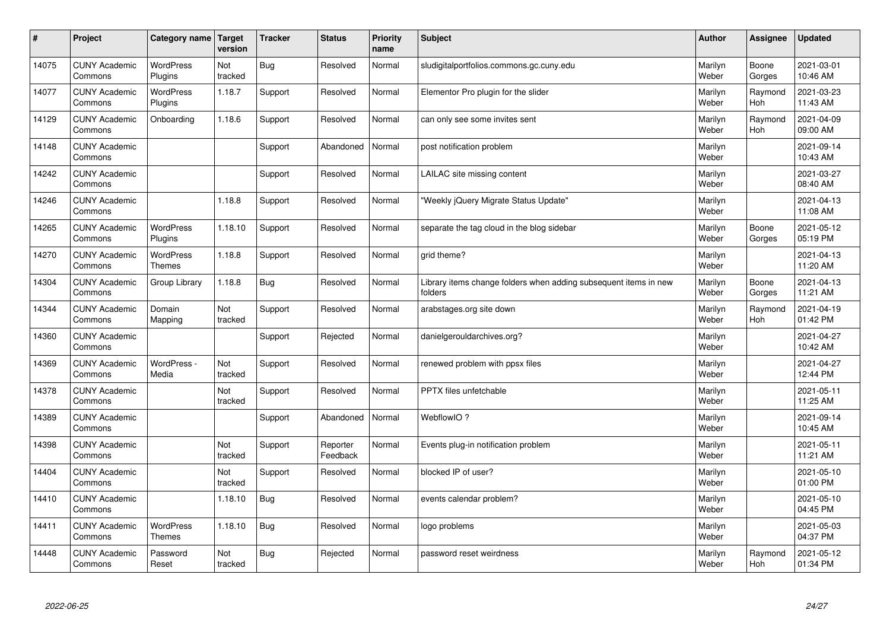| $\sharp$ | Project                         | Category name   Target      | version        | <b>Tracker</b> | <b>Status</b>        | <b>Priority</b><br>name | <b>Subject</b>                                                              | <b>Author</b>    | Assignee              | <b>Updated</b>         |
|----------|---------------------------------|-----------------------------|----------------|----------------|----------------------|-------------------------|-----------------------------------------------------------------------------|------------------|-----------------------|------------------------|
| 14075    | <b>CUNY Academic</b><br>Commons | <b>WordPress</b><br>Plugins | Not<br>tracked | Bug            | Resolved             | Normal                  | sludigitalportfolios.commons.gc.cuny.edu                                    | Marilyn<br>Weber | Boone<br>Gorges       | 2021-03-01<br>10:46 AM |
| 14077    | <b>CUNY Academic</b><br>Commons | <b>WordPress</b><br>Plugins | 1.18.7         | Support        | Resolved             | Normal                  | Elementor Pro plugin for the slider                                         | Marilyn<br>Weber | Raymond<br>Hoh        | 2021-03-23<br>11:43 AM |
| 14129    | <b>CUNY Academic</b><br>Commons | Onboarding                  | 1.18.6         | Support        | Resolved             | Normal                  | can only see some invites sent                                              | Marilyn<br>Weber | Raymond<br><b>Hoh</b> | 2021-04-09<br>09:00 AM |
| 14148    | <b>CUNY Academic</b><br>Commons |                             |                | Support        | Abandoned            | Normal                  | post notification problem                                                   | Marilyn<br>Weber |                       | 2021-09-14<br>10:43 AM |
| 14242    | <b>CUNY Academic</b><br>Commons |                             |                | Support        | Resolved             | Normal                  | LAILAC site missing content                                                 | Marilyn<br>Weber |                       | 2021-03-27<br>08:40 AM |
| 14246    | <b>CUNY Academic</b><br>Commons |                             | 1.18.8         | Support        | Resolved             | Normal                  | 'Weekly jQuery Migrate Status Update"                                       | Marilyn<br>Weber |                       | 2021-04-13<br>11:08 AM |
| 14265    | <b>CUNY Academic</b><br>Commons | <b>WordPress</b><br>Plugins | 1.18.10        | Support        | Resolved             | Normal                  | separate the tag cloud in the blog sidebar                                  | Marilyn<br>Weber | Boone<br>Gorges       | 2021-05-12<br>05:19 PM |
| 14270    | <b>CUNY Academic</b><br>Commons | <b>WordPress</b><br>Themes  | 1.18.8         | Support        | Resolved             | Normal                  | grid theme?                                                                 | Marilyn<br>Weber |                       | 2021-04-13<br>11:20 AM |
| 14304    | <b>CUNY Academic</b><br>Commons | Group Library               | 1.18.8         | Bug            | Resolved             | Normal                  | Library items change folders when adding subsequent items in new<br>folders | Marilyn<br>Weber | Boone<br>Gorges       | 2021-04-13<br>11:21 AM |
| 14344    | <b>CUNY Academic</b><br>Commons | Domain<br>Mapping           | Not<br>tracked | Support        | Resolved             | Normal                  | arabstages.org site down                                                    | Marilyn<br>Weber | Raymond<br>Hoh        | 2021-04-19<br>01:42 PM |
| 14360    | <b>CUNY Academic</b><br>Commons |                             |                | Support        | Rejected             | Normal                  | danielgerouldarchives.org?                                                  | Marilyn<br>Weber |                       | 2021-04-27<br>10:42 AM |
| 14369    | <b>CUNY Academic</b><br>Commons | WordPress -<br>Media        | Not<br>tracked | Support        | Resolved             | Normal                  | renewed problem with ppsx files                                             | Marilyn<br>Weber |                       | 2021-04-27<br>12:44 PM |
| 14378    | <b>CUNY Academic</b><br>Commons |                             | Not<br>tracked | Support        | Resolved             | Normal                  | PPTX files unfetchable                                                      | Marilyn<br>Weber |                       | 2021-05-11<br>11:25 AM |
| 14389    | <b>CUNY Academic</b><br>Commons |                             |                | Support        | Abandoned            | Normal                  | WebflowIO?                                                                  | Marilyn<br>Weber |                       | 2021-09-14<br>10:45 AM |
| 14398    | <b>CUNY Academic</b><br>Commons |                             | Not<br>tracked | Support        | Reporter<br>Feedback | Normal                  | Events plug-in notification problem                                         | Marilyn<br>Weber |                       | 2021-05-11<br>11:21 AM |
| 14404    | <b>CUNY Academic</b><br>Commons |                             | Not<br>tracked | Support        | Resolved             | Normal                  | blocked IP of user?                                                         | Marilyn<br>Weber |                       | 2021-05-10<br>01:00 PM |
| 14410    | <b>CUNY Academic</b><br>Commons |                             | 1.18.10        | <b>Bug</b>     | Resolved             | Normal                  | events calendar problem?                                                    | Marilyn<br>Weber |                       | 2021-05-10<br>04:45 PM |
| 14411    | <b>CUNY Academic</b><br>Commons | WordPress<br><b>Themes</b>  | 1.18.10        | <b>Bug</b>     | Resolved             | Normal                  | logo problems                                                               | Marilyn<br>Weber |                       | 2021-05-03<br>04:37 PM |
| 14448    | <b>CUNY Academic</b><br>Commons | Password<br>Reset           | Not<br>tracked | Bug            | Rejected             | Normal                  | password reset weirdness                                                    | Marilyn<br>Weber | Raymond<br>Hoh        | 2021-05-12<br>01:34 PM |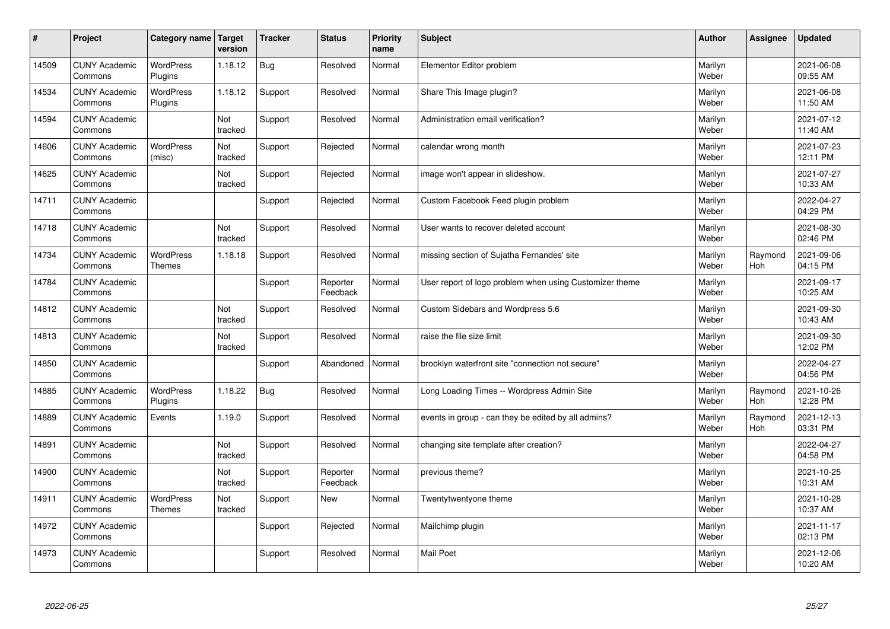| $\vert$ # | Project                         | Category name   Target            | version        | <b>Tracker</b> | <b>Status</b>        | <b>Priority</b><br>name | <b>Subject</b>                                          | <b>Author</b>    | Assignee       | <b>Updated</b>         |
|-----------|---------------------------------|-----------------------------------|----------------|----------------|----------------------|-------------------------|---------------------------------------------------------|------------------|----------------|------------------------|
| 14509     | <b>CUNY Academic</b><br>Commons | <b>WordPress</b><br>Plugins       | 1.18.12        | Bug            | Resolved             | Normal                  | Elementor Editor problem                                | Marilyn<br>Weber |                | 2021-06-08<br>09:55 AM |
| 14534     | <b>CUNY Academic</b><br>Commons | <b>WordPress</b><br>Plugins       | 1.18.12        | Support        | Resolved             | Normal                  | Share This Image plugin?                                | Marilyn<br>Weber |                | 2021-06-08<br>11:50 AM |
| 14594     | <b>CUNY Academic</b><br>Commons |                                   | Not<br>tracked | Support        | Resolved             | Normal                  | Administration email verification?                      | Marilyn<br>Weber |                | 2021-07-12<br>11:40 AM |
| 14606     | <b>CUNY Academic</b><br>Commons | <b>WordPress</b><br>(misc)        | Not<br>tracked | Support        | Rejected             | Normal                  | calendar wrong month                                    | Marilyn<br>Weber |                | 2021-07-23<br>12:11 PM |
| 14625     | <b>CUNY Academic</b><br>Commons |                                   | Not<br>tracked | Support        | Rejected             | Normal                  | image won't appear in slideshow.                        | Marilyn<br>Weber |                | 2021-07-27<br>10:33 AM |
| 14711     | <b>CUNY Academic</b><br>Commons |                                   |                | Support        | Rejected             | Normal                  | Custom Facebook Feed plugin problem                     | Marilyn<br>Weber |                | 2022-04-27<br>04:29 PM |
| 14718     | <b>CUNY Academic</b><br>Commons |                                   | Not<br>tracked | Support        | Resolved             | Normal                  | User wants to recover deleted account                   | Marilyn<br>Weber |                | 2021-08-30<br>02:46 PM |
| 14734     | <b>CUNY Academic</b><br>Commons | <b>WordPress</b><br><b>Themes</b> | 1.18.18        | Support        | Resolved             | Normal                  | missing section of Sujatha Fernandes' site              | Marilyn<br>Weber | Raymond<br>Hoh | 2021-09-06<br>04:15 PM |
| 14784     | <b>CUNY Academic</b><br>Commons |                                   |                | Support        | Reporter<br>Feedback | Normal                  | User report of logo problem when using Customizer theme | Marilyn<br>Weber |                | 2021-09-17<br>10:25 AM |
| 14812     | <b>CUNY Academic</b><br>Commons |                                   | Not<br>tracked | Support        | Resolved             | Normal                  | Custom Sidebars and Wordpress 5.6                       | Marilyn<br>Weber |                | 2021-09-30<br>10:43 AM |
| 14813     | <b>CUNY Academic</b><br>Commons |                                   | Not<br>tracked | Support        | Resolved             | Normal                  | raise the file size limit                               | Marilyn<br>Weber |                | 2021-09-30<br>12:02 PM |
| 14850     | <b>CUNY Academic</b><br>Commons |                                   |                | Support        | Abandoned            | Normal                  | brooklyn waterfront site "connection not secure"        | Marilyn<br>Weber |                | 2022-04-27<br>04:56 PM |
| 14885     | <b>CUNY Academic</b><br>Commons | WordPress<br>Plugins              | 1.18.22        | Bug            | Resolved             | Normal                  | Long Loading Times -- Wordpress Admin Site              | Marilyn<br>Weber | Raymond<br>Hoh | 2021-10-26<br>12:28 PM |
| 14889     | <b>CUNY Academic</b><br>Commons | Events                            | 1.19.0         | Support        | Resolved             | Normal                  | events in group - can they be edited by all admins?     | Marilyn<br>Weber | Raymond<br>Hoh | 2021-12-13<br>03:31 PM |
| 14891     | <b>CUNY Academic</b><br>Commons |                                   | Not<br>tracked | Support        | Resolved             | Normal                  | changing site template after creation?                  | Marilyn<br>Weber |                | 2022-04-27<br>04:58 PM |
| 14900     | <b>CUNY Academic</b><br>Commons |                                   | Not<br>tracked | Support        | Reporter<br>Feedback | Normal                  | previous theme?                                         | Marilyn<br>Weber |                | 2021-10-25<br>10:31 AM |
| 14911     | <b>CUNY Academic</b><br>Commons | WordPress<br><b>Themes</b>        | Not<br>tracked | Support        | <b>New</b>           | Normal                  | Twentytwentyone theme                                   | Marilyn<br>Weber |                | 2021-10-28<br>10:37 AM |
| 14972     | <b>CUNY Academic</b><br>Commons |                                   |                | Support        | Rejected             | Normal                  | Mailchimp plugin                                        | Marilyn<br>Weber |                | 2021-11-17<br>02:13 PM |
| 14973     | <b>CUNY Academic</b><br>Commons |                                   |                | Support        | Resolved             | Normal                  | <b>Mail Poet</b>                                        | Marilyn<br>Weber |                | 2021-12-06<br>10:20 AM |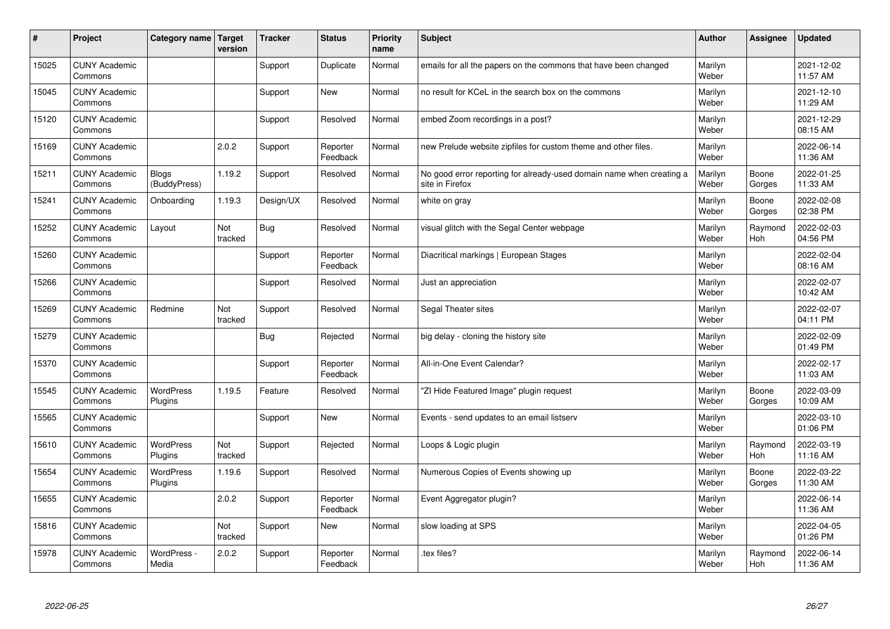| #     | Project                         | Category name   Target       | version        | <b>Tracker</b> | <b>Status</b>        | <b>Priority</b><br>name | <b>Subject</b>                                                                          | <b>Author</b>    | Assignee              | <b>Updated</b>         |
|-------|---------------------------------|------------------------------|----------------|----------------|----------------------|-------------------------|-----------------------------------------------------------------------------------------|------------------|-----------------------|------------------------|
| 15025 | <b>CUNY Academic</b><br>Commons |                              |                | Support        | Duplicate            | Normal                  | emails for all the papers on the commons that have been changed                         | Marilyn<br>Weber |                       | 2021-12-02<br>11:57 AM |
| 15045 | <b>CUNY Academic</b><br>Commons |                              |                | Support        | <b>New</b>           | Normal                  | no result for KCeL in the search box on the commons                                     | Marilyn<br>Weber |                       | 2021-12-10<br>11:29 AM |
| 15120 | <b>CUNY Academic</b><br>Commons |                              |                | Support        | Resolved             | Normal                  | embed Zoom recordings in a post?                                                        | Marilyn<br>Weber |                       | 2021-12-29<br>08:15 AM |
| 15169 | <b>CUNY Academic</b><br>Commons |                              | 2.0.2          | Support        | Reporter<br>Feedback | Normal                  | new Prelude website zipfiles for custom theme and other files.                          | Marilyn<br>Weber |                       | 2022-06-14<br>11:36 AM |
| 15211 | <b>CUNY Academic</b><br>Commons | <b>Blogs</b><br>(BuddyPress) | 1.19.2         | Support        | Resolved             | Normal                  | No good error reporting for already-used domain name when creating a<br>site in Firefox | Marilyn<br>Weber | Boone<br>Gorges       | 2022-01-25<br>11:33 AM |
| 15241 | <b>CUNY Academic</b><br>Commons | Onboarding                   | 1.19.3         | Design/UX      | Resolved             | Normal                  | white on gray                                                                           | Marilyn<br>Weber | Boone<br>Gorges       | 2022-02-08<br>02:38 PM |
| 15252 | <b>CUNY Academic</b><br>Commons | Layout                       | Not<br>tracked | Bug            | Resolved             | Normal                  | visual glitch with the Segal Center webpage                                             | Marilyn<br>Weber | Raymond<br>Hoh        | 2022-02-03<br>04:56 PM |
| 15260 | <b>CUNY Academic</b><br>Commons |                              |                | Support        | Reporter<br>Feedback | Normal                  | Diacritical markings   European Stages                                                  | Marilyn<br>Weber |                       | 2022-02-04<br>08:16 AM |
| 15266 | <b>CUNY Academic</b><br>Commons |                              |                | Support        | Resolved             | Normal                  | Just an appreciation                                                                    | Marilyn<br>Weber |                       | 2022-02-07<br>10:42 AM |
| 15269 | <b>CUNY Academic</b><br>Commons | Redmine                      | Not<br>tracked | Support        | Resolved             | Normal                  | Segal Theater sites                                                                     | Marilyn<br>Weber |                       | 2022-02-07<br>04:11 PM |
| 15279 | <b>CUNY Academic</b><br>Commons |                              |                | <b>Bug</b>     | Rejected             | Normal                  | big delay - cloning the history site                                                    | Marilyn<br>Weber |                       | 2022-02-09<br>01:49 PM |
| 15370 | <b>CUNY Academic</b><br>Commons |                              |                | Support        | Reporter<br>Feedback | Normal                  | All-in-One Event Calendar?                                                              | Marilyn<br>Weber |                       | 2022-02-17<br>11:03 AM |
| 15545 | <b>CUNY Academic</b><br>Commons | <b>WordPress</b><br>Plugins  | 1.19.5         | Feature        | Resolved             | Normal                  | "ZI Hide Featured Image" plugin request                                                 | Marilyn<br>Weber | Boone<br>Gorges       | 2022-03-09<br>10:09 AM |
| 15565 | <b>CUNY Academic</b><br>Commons |                              |                | Support        | <b>New</b>           | Normal                  | Events - send updates to an email listserv                                              | Marilyn<br>Weber |                       | 2022-03-10<br>01:06 PM |
| 15610 | <b>CUNY Academic</b><br>Commons | WordPress<br>Plugins         | Not<br>tracked | Support        | Rejected             | Normal                  | Loops & Logic plugin                                                                    | Marilyn<br>Weber | Raymond<br><b>Hoh</b> | 2022-03-19<br>11:16 AM |
| 15654 | <b>CUNY Academic</b><br>Commons | <b>WordPress</b><br>Plugins  | 1.19.6         | Support        | Resolved             | Normal                  | Numerous Copies of Events showing up                                                    | Marilyn<br>Weber | Boone<br>Gorges       | 2022-03-22<br>11:30 AM |
| 15655 | <b>CUNY Academic</b><br>Commons |                              | 2.0.2          | Support        | Reporter<br>Feedback | Normal                  | Event Aggregator plugin?                                                                | Marilyn<br>Weber |                       | 2022-06-14<br>11:36 AM |
| 15816 | <b>CUNY Academic</b><br>Commons |                              | Not<br>tracked | Support        | <b>New</b>           | Normal                  | slow loading at SPS                                                                     | Marilyn<br>Weber |                       | 2022-04-05<br>01:26 PM |
| 15978 | <b>CUNY Academic</b><br>Commons | WordPress -<br>Media         | 2.0.2          | Support        | Reporter<br>Feedback | Normal                  | tex files?                                                                              | Marilyn<br>Weber | Raymond<br>Hoh        | 2022-06-14<br>11:36 AM |